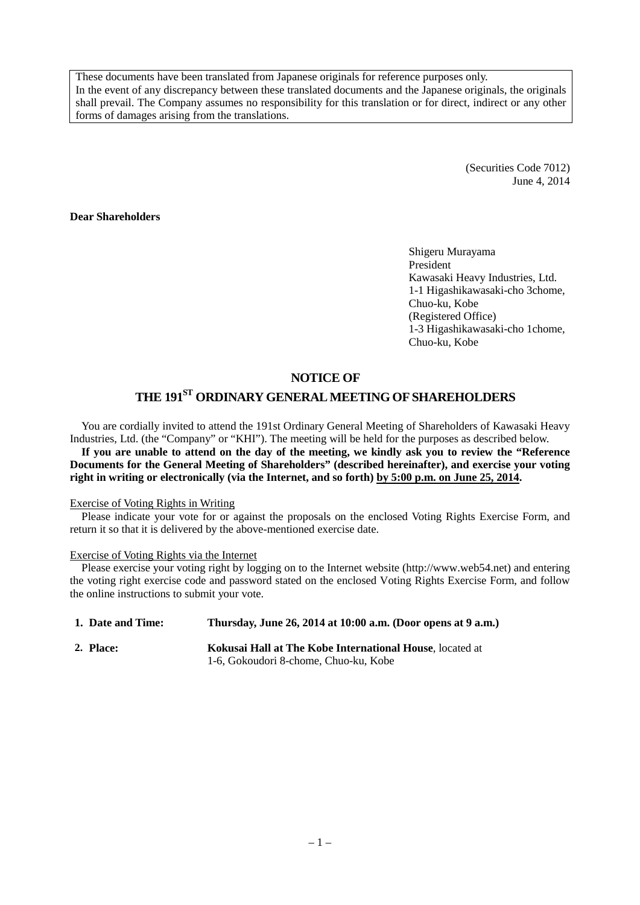These documents have been translated from Japanese originals for reference purposes only. In the event of any discrepancy between these translated documents and the Japanese originals, the originals shall prevail. The Company assumes no responsibility for this translation or for direct, indirect or any other forms of damages arising from the translations.

> (Securities Code 7012) June 4, 2014

#### **Dear Shareholders**

Shigeru Murayama President Kawasaki Heavy Industries, Ltd. 1-1 Higashikawasaki-cho 3chome, Chuo-ku, Kobe (Registered Office) 1-3 Higashikawasaki-cho 1chome, Chuo-ku, Kobe

## **NOTICE OF**

# **THE 191ST ORDINARY GENERAL MEETING OF SHAREHOLDERS**

You are cordially invited to attend the 191st Ordinary General Meeting of Shareholders of Kawasaki Heavy Industries, Ltd. (the "Company" or "KHI"). The meeting will be held for the purposes as described below. **If you are unable to attend on the day of the meeting, we kindly ask you to review the "Reference Documents for the General Meeting of Shareholders" (described hereinafter), and exercise your voting right in writing or electronically (via the Internet, and so forth) by 5:00 p.m. on June 25, 2014.**

#### Exercise of Voting Rights in Writing

Please indicate your vote for or against the proposals on the enclosed Voting Rights Exercise Form, and return it so that it is delivered by the above-mentioned exercise date.

#### Exercise of Voting Rights via the Internet

Please exercise your voting right by logging on to the Internet website (http://www.web54.net) and entering the voting right exercise code and password stated on the enclosed Voting Rights Exercise Form, and follow the online instructions to submit your vote.

| 1. Date and Time: | Thursday, June 26, 2014 at 10:00 a.m. (Door opens at 9 a.m.) |
|-------------------|--------------------------------------------------------------|
| 2. Place:         | Kokusai Hall at The Kobe International House, located at     |
|                   | 1-6. Gokoudori 8-chome. Chuo-ku. Kobe                        |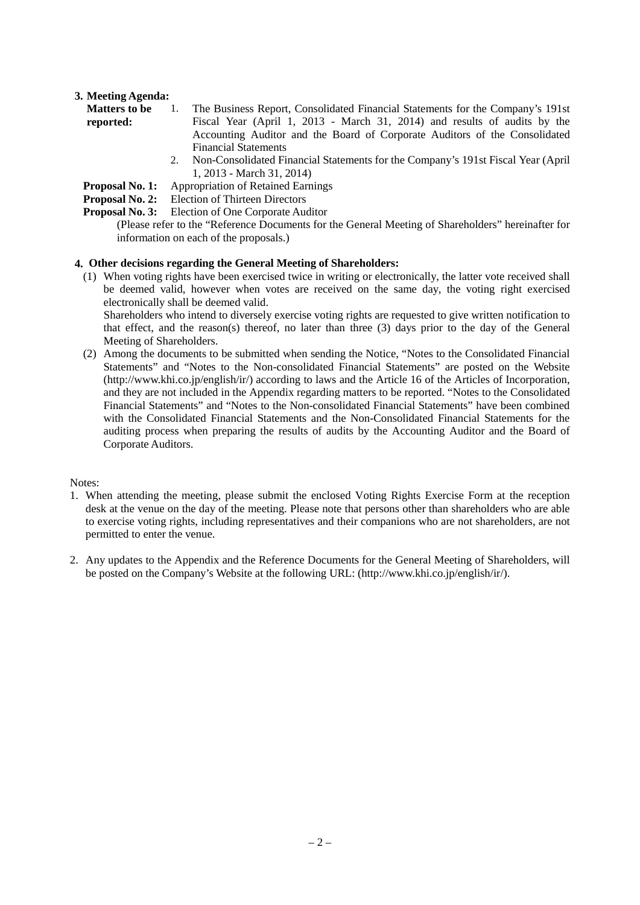## **3. Meeting Agenda:**

| <b>Matters to be</b> | The Business Report, Consolidated Financial Statements for the Company's 191st                                                                                                                                                                                                                                                                                                                                                                                                                                                                                                                               |
|----------------------|--------------------------------------------------------------------------------------------------------------------------------------------------------------------------------------------------------------------------------------------------------------------------------------------------------------------------------------------------------------------------------------------------------------------------------------------------------------------------------------------------------------------------------------------------------------------------------------------------------------|
| reported:            | Fiscal Year (April 1, 2013 - March 31, 2014) and results of audits by the                                                                                                                                                                                                                                                                                                                                                                                                                                                                                                                                    |
|                      | Accounting Auditor and the Board of Corporate Auditors of the Consolidated                                                                                                                                                                                                                                                                                                                                                                                                                                                                                                                                   |
|                      | <b>Financial Statements</b>                                                                                                                                                                                                                                                                                                                                                                                                                                                                                                                                                                                  |
|                      | $\Omega$ . M <sub>ra</sub> $\Omega$ <sub>ra</sub> $\Omega$ <sub>ra</sub> $\Omega$ $\Omega$ <sub>ra</sub> $\Omega$ <sub>1</sub> $\Omega$ <sub>1</sub> $\Omega$ <sub>1</sub> $\Omega$ <sub>1</sub> $\Omega$ <sub>1</sub> $\Omega$ <sub>1</sub> $\Omega$ <sub>1</sub> $\Omega$ <sub>1</sub> $\Omega$ <sub>1</sub> $\Omega$ <sub>1</sub> $\Omega$ <sub>1</sub> $\Omega$ <sub>1</sub> $\Omega$ <sub>1</sub> $\Omega$ <sub>1</sub> $\Omega$ <sub>1</sub> $\Omega$ <sub>1</sub> $\Omega$ <sub>1</sub> $\Omega$ <sub>1</sub> $\Omega$ <sub>1</sub> $\Omega$ <sub>1</sub> $\Omega$ <sub>1</sub> $\Omega$ <sub>1</sub> |

- 2. Non-Consolidated Financial Statements for the Company's 191st Fiscal Year (April 1, 2013 - March 31, 2014)
- **Proposal No. 1:** Appropriation of Retained Earnings
- **Proposal No. 2:** Election of Thirteen Directors
- **Proposal No. 3:** Election of One Corporate Auditor

## **4. Other decisions regarding the General Meeting of Shareholders:**

(1) When voting rights have been exercised twice in writing or electronically, the latter vote received shall be deemed valid, however when votes are received on the same day, the voting right exercised electronically shall be deemed valid.

Shareholders who intend to diversely exercise voting rights are requested to give written notification to that effect, and the reason(s) thereof, no later than three  $(3)$  days prior to the day of the General Meeting of Shareholders.

(2) Among the documents to be submitted when sending the Notice, "Notes to the Consolidated Financial Statements" and "Notes to the Non-consolidated Financial Statements" are posted on the Website (http://www.khi.co.jp/english/ir/) according to laws and the Article 16 of the Articles of Incorporation, and they are not included in the Appendix regarding matters to be reported. "Notes to the Consolidated Financial Statements" and "Notes to the Non-consolidated Financial Statements" have been combined with the Consolidated Financial Statements and the Non-Consolidated Financial Statements for the auditing process when preparing the results of audits by the Accounting Auditor and the Board of Corporate Auditors.

## Notes:

- 1. When attending the meeting, please submit the enclosed Voting Rights Exercise Form at the reception desk at the venue on the day of the meeting. Please note that persons other than shareholders who are able to exercise voting rights, including representatives and their companions who are not shareholders, are not permitted to enter the venue.
- 2. Any updates to the Appendix and the Reference Documents for the General Meeting of Shareholders, will be posted on the Company's Website at the following URL: (http://www.khi.co.jp/english/ir/).

<sup>(</sup>Please refer to the "Reference Documents for the General Meeting of Shareholders" hereinafter for information on each of the proposals.)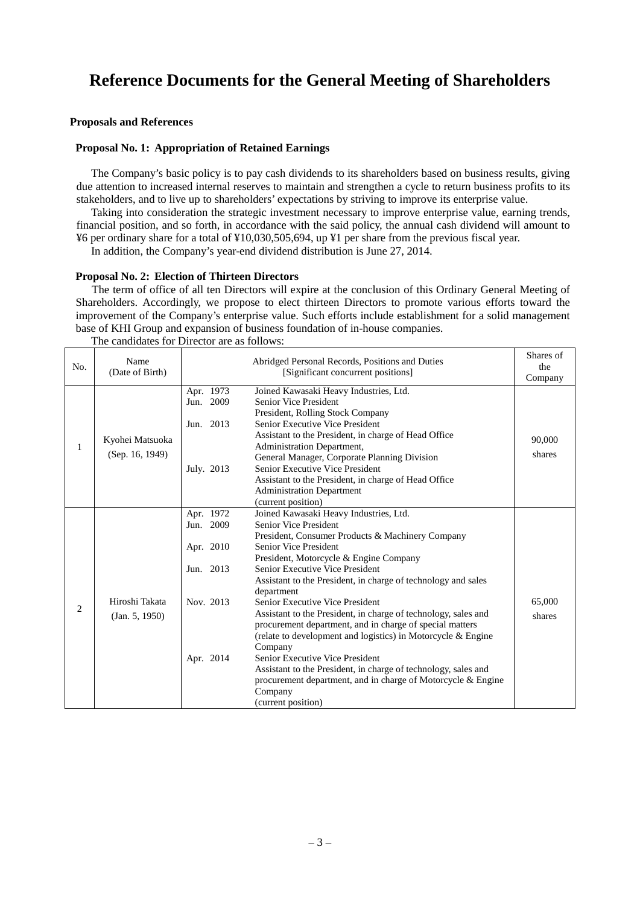# **Reference Documents for the General Meeting of Shareholders**

#### **Proposals and References**

#### **Proposal No. 1: Appropriation of Retained Earnings**

The Company's basic policy is to pay cash dividends to its shareholders based on business results, giving due attention to increased internal reserves to maintain and strengthen a cycle to return business profits to its stakeholders, and to live up to shareholders' expectations by striving to improve its enterprise value.

Taking into consideration the strategic investment necessary to improve enterprise value, earning trends, financial position, and so forth, in accordance with the said policy, the annual cash dividend will amount to ¥6 per ordinary share for a total of ¥10,030,505,694, up ¥1 per share from the previous fiscal year.

In addition, the Company's year-end dividend distribution is June 27, 2014.

#### **Proposal No. 2: Election of Thirteen Directors**

The term of office of all ten Directors will expire at the conclusion of this Ordinary General Meeting of Shareholders. Accordingly, we propose to elect thirteen Directors to promote various efforts toward the improvement of the Company's enterprise value. Such efforts include establishment for a solid management base of KHI Group and expansion of business foundation of in-house companies.

| No. | Name<br>(Date of Birth)            | Abridged Personal Records, Positions and Duties<br>[Significant concurrent positions] |                                                                                                                                                                                                                                                                                                                                                                                                                                                                                                                                                                                                                                                                                                                                                                   | Shares of<br>the<br>Company |
|-----|------------------------------------|---------------------------------------------------------------------------------------|-------------------------------------------------------------------------------------------------------------------------------------------------------------------------------------------------------------------------------------------------------------------------------------------------------------------------------------------------------------------------------------------------------------------------------------------------------------------------------------------------------------------------------------------------------------------------------------------------------------------------------------------------------------------------------------------------------------------------------------------------------------------|-----------------------------|
| 1   | Kyohei Matsuoka<br>(Sep. 16, 1949) | Apr. 1973<br>Jun. 2009<br>Jun. 2013<br>July. 2013                                     | Joined Kawasaki Heavy Industries, Ltd.<br><b>Senior Vice President</b><br>President, Rolling Stock Company<br>Senior Executive Vice President<br>Assistant to the President, in charge of Head Office<br>Administration Department,<br>General Manager, Corporate Planning Division<br>Senior Executive Vice President<br>Assistant to the President, in charge of Head Office<br><b>Administration Department</b><br>(current position)                                                                                                                                                                                                                                                                                                                          | 90,000<br>shares            |
| 2   | Hiroshi Takata<br>(Jan. 5, 1950)   | Apr. 1972<br>Jun. 2009<br>Apr. 2010<br>Jun. 2013<br>Nov. 2013<br>Apr. 2014            | Joined Kawasaki Heavy Industries, Ltd.<br>Senior Vice President<br>President, Consumer Products & Machinery Company<br><b>Senior Vice President</b><br>President, Motorcycle & Engine Company<br>Senior Executive Vice President<br>Assistant to the President, in charge of technology and sales<br>department<br>Senior Executive Vice President<br>Assistant to the President, in charge of technology, sales and<br>procurement department, and in charge of special matters<br>(relate to development and logistics) in Motorcycle & Engine<br>Company<br>Senior Executive Vice President<br>Assistant to the President, in charge of technology, sales and<br>procurement department, and in charge of Motorcycle & Engine<br>Company<br>(current position) | 65,000<br>shares            |

The candidates for Director are as follows: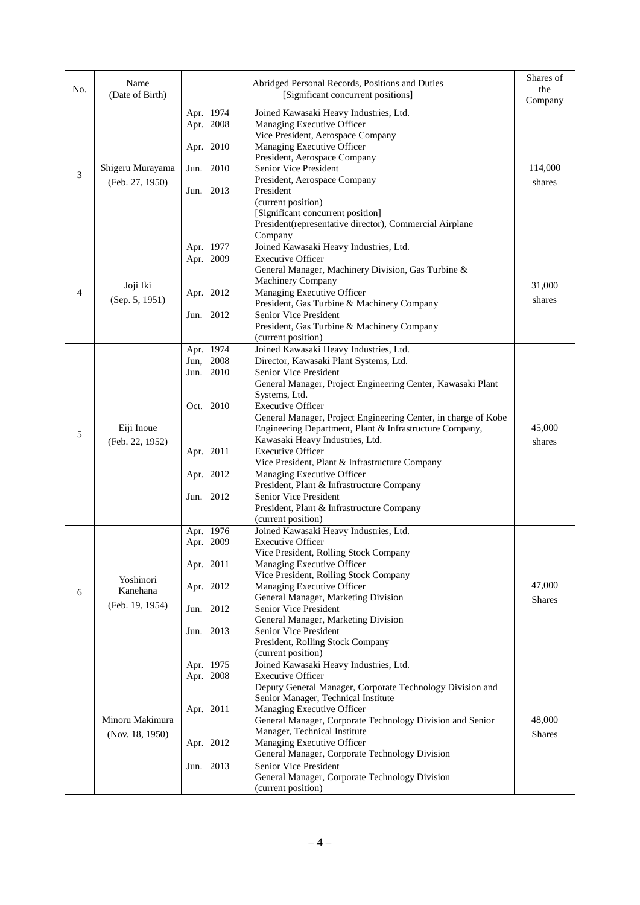| No. | Name<br>(Date of Birth)                  |                                                                                         | Abridged Personal Records, Positions and Duties<br>[Significant concurrent positions]                                                                                                                                                                                                                                                                                                                                                                                                                                                                                                                                                      | Shares of<br>the<br>Company |
|-----|------------------------------------------|-----------------------------------------------------------------------------------------|--------------------------------------------------------------------------------------------------------------------------------------------------------------------------------------------------------------------------------------------------------------------------------------------------------------------------------------------------------------------------------------------------------------------------------------------------------------------------------------------------------------------------------------------------------------------------------------------------------------------------------------------|-----------------------------|
| 3   | Shigeru Murayama<br>(Feb. 27, 1950)      | Apr. 1974<br>Apr. 2008<br>Apr. 2010<br>Jun. 2010<br>Jun. 2013                           | Joined Kawasaki Heavy Industries, Ltd.<br>Managing Executive Officer<br>Vice President, Aerospace Company<br>Managing Executive Officer<br>President, Aerospace Company<br>Senior Vice President<br>President, Aerospace Company<br>President<br>(current position)<br>[Significant concurrent position]<br>President(representative director), Commercial Airplane<br>Company                                                                                                                                                                                                                                                             | 114,000<br>shares           |
| 4   | Joji Iki<br>(Sep. 5, 1951)               | Apr. 1977<br>Apr. 2009<br>Apr. 2012<br>Jun. 2012                                        | Joined Kawasaki Heavy Industries, Ltd.<br><b>Executive Officer</b><br>General Manager, Machinery Division, Gas Turbine &<br>Machinery Company<br>Managing Executive Officer<br>President, Gas Turbine & Machinery Company<br><b>Senior Vice President</b><br>President, Gas Turbine & Machinery Company<br>(current position)                                                                                                                                                                                                                                                                                                              | 31,000<br>shares            |
| 5   | Eiji Inoue<br>(Feb. 22, 1952)            | Apr. 1974<br>Jun, 2008<br>Jun. 2010<br>Oct. 2010<br>Apr. 2011<br>Apr. 2012<br>Jun. 2012 | Joined Kawasaki Heavy Industries, Ltd.<br>Director, Kawasaki Plant Systems, Ltd.<br>Senior Vice President<br>General Manager, Project Engineering Center, Kawasaki Plant<br>Systems, Ltd.<br><b>Executive Officer</b><br>General Manager, Project Engineering Center, in charge of Kobe<br>Engineering Department, Plant & Infrastructure Company,<br>Kawasaki Heavy Industries, Ltd.<br><b>Executive Officer</b><br>Vice President, Plant & Infrastructure Company<br>Managing Executive Officer<br>President, Plant & Infrastructure Company<br>Senior Vice President<br>President, Plant & Infrastructure Company<br>(current position) | 45,000<br>shares            |
| 6   | Yoshinori<br>Kanehana<br>(Feb. 19, 1954) | Apr. 1976<br>Apr. 2009<br>Apr. 2011<br>Apr. 2012<br>Jun. 2012<br>Jun. 2013              | Joined Kawasaki Heavy Industries, Ltd.<br><b>Executive Officer</b><br>Vice President, Rolling Stock Company<br>Managing Executive Officer<br>Vice President, Rolling Stock Company<br>Managing Executive Officer<br>General Manager, Marketing Division<br>Senior Vice President<br>General Manager, Marketing Division<br>Senior Vice President<br>President, Rolling Stock Company<br>(current position)                                                                                                                                                                                                                                 | 47,000<br><b>Shares</b>     |
|     | Minoru Makimura<br>(Nov. 18, 1950)       | Apr. 1975<br>Apr. 2008<br>Apr. 2011<br>Apr. 2012<br>Jun. 2013                           | Joined Kawasaki Heavy Industries, Ltd.<br><b>Executive Officer</b><br>Deputy General Manager, Corporate Technology Division and<br>Senior Manager, Technical Institute<br>Managing Executive Officer<br>General Manager, Corporate Technology Division and Senior<br>Manager, Technical Institute<br>Managing Executive Officer<br>General Manager, Corporate Technology Division<br>Senior Vice President<br>General Manager, Corporate Technology Division<br>(current position)                                                                                                                                                         | 48,000<br><b>Shares</b>     |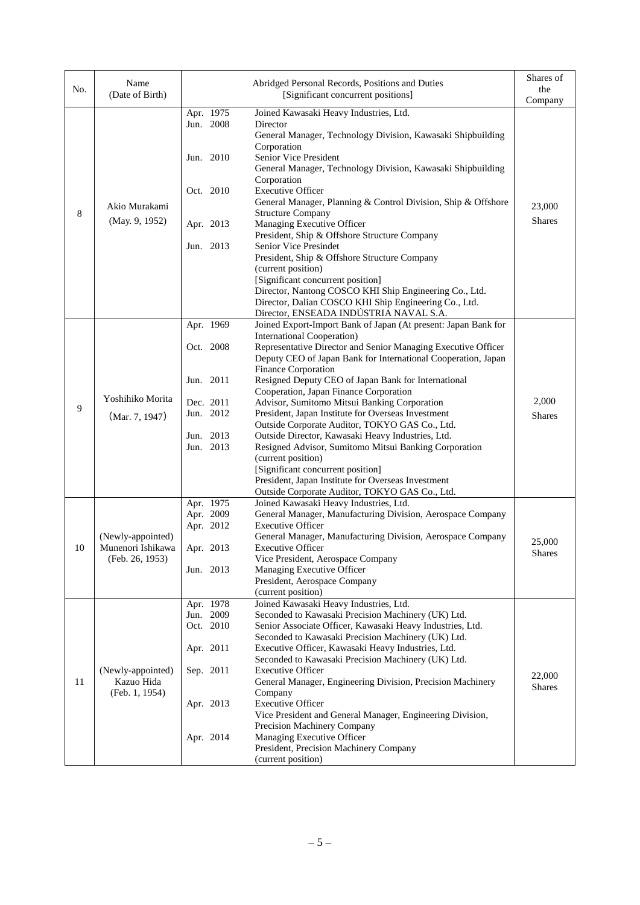| No. | Name<br>(Date of Birth)              |                        | Abridged Personal Records, Positions and Duties<br>[Significant concurrent positions]                |               |  |
|-----|--------------------------------------|------------------------|------------------------------------------------------------------------------------------------------|---------------|--|
|     |                                      | Apr. 1975<br>Jun. 2008 | Joined Kawasaki Heavy Industries, Ltd.<br>Director                                                   | Company       |  |
|     |                                      |                        | General Manager, Technology Division, Kawasaki Shipbuilding                                          |               |  |
|     |                                      |                        | Corporation                                                                                          |               |  |
|     |                                      | Jun. 2010              | Senior Vice President<br>General Manager, Technology Division, Kawasaki Shipbuilding                 |               |  |
|     |                                      |                        | Corporation                                                                                          |               |  |
|     |                                      | Oct. 2010              | <b>Executive Officer</b>                                                                             |               |  |
|     | Akio Murakami                        |                        | General Manager, Planning & Control Division, Ship & Offshore                                        | 23,000        |  |
| 8   | (May. 9, 1952)                       | Apr. 2013              | <b>Structure Company</b><br>Managing Executive Officer                                               | <b>Shares</b> |  |
|     |                                      |                        | President, Ship & Offshore Structure Company                                                         |               |  |
|     |                                      | Jun. 2013              | Senior Vice Presindet                                                                                |               |  |
|     |                                      |                        | President, Ship & Offshore Structure Company                                                         |               |  |
|     |                                      |                        | (current position)<br>[Significant concurrent position]                                              |               |  |
|     |                                      |                        | Director, Nantong COSCO KHI Ship Engineering Co., Ltd.                                               |               |  |
|     |                                      |                        | Director, Dalian COSCO KHI Ship Engineering Co., Ltd.                                                |               |  |
|     |                                      |                        | Director, ENSEADA INDÚSTRIA NAVAL S.A.                                                               |               |  |
|     |                                      | Apr. 1969              | Joined Export-Import Bank of Japan (At present: Japan Bank for                                       |               |  |
|     |                                      |                        | International Cooperation)<br>Representative Director and Senior Managing Executive Officer          |               |  |
|     |                                      | Oct. 2008              | Deputy CEO of Japan Bank for International Cooperation, Japan                                        |               |  |
|     |                                      |                        | <b>Finance Corporation</b>                                                                           |               |  |
|     | Yoshihiko Morita<br>(Mar. 7, 1947)   | Jun. 2011              | Resigned Deputy CEO of Japan Bank for International                                                  |               |  |
|     |                                      |                        | Cooperation, Japan Finance Corporation                                                               |               |  |
| 9   |                                      | Dec. 2011              | Advisor, Sumitomo Mitsui Banking Corporation                                                         | 2,000         |  |
|     |                                      | Jun. 2012              | President, Japan Institute for Overseas Investment<br>Outside Corporate Auditor, TOKYO GAS Co., Ltd. | <b>Shares</b> |  |
|     |                                      | Jun. 2013              | Outside Director, Kawasaki Heavy Industries, Ltd.                                                    |               |  |
|     |                                      | Jun. 2013              | Resigned Advisor, Sumitomo Mitsui Banking Corporation                                                |               |  |
|     |                                      |                        | (current position)                                                                                   |               |  |
|     |                                      |                        | [Significant concurrent position]                                                                    |               |  |
|     |                                      |                        | President, Japan Institute for Overseas Investment<br>Outside Corporate Auditor, TOKYO GAS Co., Ltd. |               |  |
|     |                                      | Apr. 1975              | Joined Kawasaki Heavy Industries, Ltd.                                                               |               |  |
|     |                                      | Apr. 2009              | General Manager, Manufacturing Division, Aerospace Company                                           |               |  |
|     |                                      | Apr. 2012              | <b>Executive Officer</b>                                                                             |               |  |
|     | (Newly-appointed)                    |                        | General Manager, Manufacturing Division, Aerospace Company                                           | 25,000        |  |
| 10  | Munenori Ishikawa<br>(Feb. 26, 1953) | Apr. 2013              | <b>Executive Officer</b><br>Vice President, Aerospace Company                                        | <b>Shares</b> |  |
|     |                                      | Jun. 2013              | Managing Executive Officer                                                                           |               |  |
|     |                                      |                        | President, Aerospace Company                                                                         |               |  |
|     |                                      |                        | (current position)                                                                                   |               |  |
|     |                                      | Apr. 1978<br>Jun. 2009 | Joined Kawasaki Heavy Industries, Ltd.<br>Seconded to Kawasaki Precision Machinery (UK) Ltd.         |               |  |
|     |                                      | Oct. 2010              | Senior Associate Officer, Kawasaki Heavy Industries, Ltd.                                            |               |  |
|     |                                      |                        | Seconded to Kawasaki Precision Machinery (UK) Ltd.                                                   |               |  |
|     |                                      | Apr. 2011              | Executive Officer, Kawasaki Heavy Industries, Ltd.                                                   |               |  |
|     |                                      |                        | Seconded to Kawasaki Precision Machinery (UK) Ltd.                                                   |               |  |
| 11  | (Newly-appointed)<br>Kazuo Hida      | Sep. 2011              | <b>Executive Officer</b><br>General Manager, Engineering Division, Precision Machinery               | 22,000        |  |
|     | (Feb. 1, 1954)                       |                        | Company                                                                                              | <b>Shares</b> |  |
|     |                                      | Apr. 2013              | <b>Executive Officer</b>                                                                             |               |  |
|     |                                      |                        | Vice President and General Manager, Engineering Division,                                            |               |  |
|     |                                      |                        | Precision Machinery Company                                                                          |               |  |
|     |                                      | Apr. 2014              | Managing Executive Officer<br>President, Precision Machinery Company                                 |               |  |
|     |                                      |                        | (current position)                                                                                   |               |  |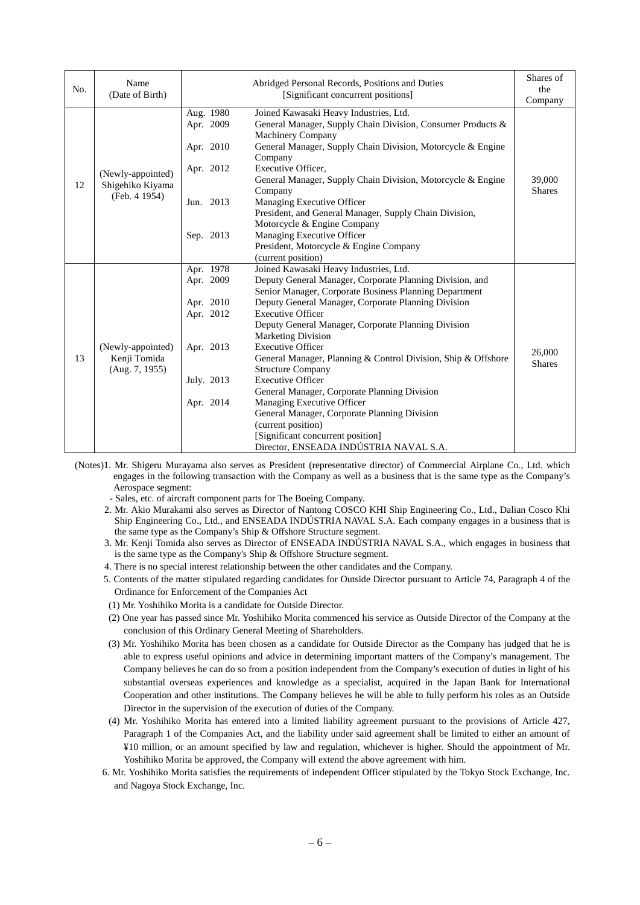| No. | Name<br>(Date of Birth)                                                                                                                                                                                                                                                                                                                                                                                                                                                                                                                                                                                                                                                  |                                                                                                                                                                                                                                                                                                                                                                                                                                                                                                                                                                                                                                                                                                                                                                                                                         | Abridged Personal Records, Positions and Duties<br>[Significant concurrent positions] |                         |
|-----|--------------------------------------------------------------------------------------------------------------------------------------------------------------------------------------------------------------------------------------------------------------------------------------------------------------------------------------------------------------------------------------------------------------------------------------------------------------------------------------------------------------------------------------------------------------------------------------------------------------------------------------------------------------------------|-------------------------------------------------------------------------------------------------------------------------------------------------------------------------------------------------------------------------------------------------------------------------------------------------------------------------------------------------------------------------------------------------------------------------------------------------------------------------------------------------------------------------------------------------------------------------------------------------------------------------------------------------------------------------------------------------------------------------------------------------------------------------------------------------------------------------|---------------------------------------------------------------------------------------|-------------------------|
| 12  | Joined Kawasaki Heavy Industries, Ltd.<br>Aug. 1980<br>Apr. 2009<br>General Manager, Supply Chain Division, Consumer Products &<br><b>Machinery Company</b><br>General Manager, Supply Chain Division, Motorcycle & Engine<br>Apr. 2010<br>Company<br>Executive Officer,<br>Apr. 2012<br>(Newly-appointed)<br>General Manager, Supply Chain Division, Motorcycle & Engine<br>Shigehiko Kiyama<br>Company<br>(Feb. 4 1954)<br>Jun. 2013<br>Managing Executive Officer<br>President, and General Manager, Supply Chain Division,<br>Motorcycle & Engine Company<br>Sep. 2013<br>Managing Executive Officer<br>President, Motorcycle & Engine Company<br>(current position) |                                                                                                                                                                                                                                                                                                                                                                                                                                                                                                                                                                                                                                                                                                                                                                                                                         | 39,000<br><b>Shares</b>                                                               |                         |
| 13  | (Newly-appointed)<br>Kenji Tomida<br>(Aug. 7, 1955)                                                                                                                                                                                                                                                                                                                                                                                                                                                                                                                                                                                                                      | Apr. 1978<br>Joined Kawasaki Heavy Industries, Ltd.<br>Deputy General Manager, Corporate Planning Division, and<br>Apr. 2009<br>Senior Manager, Corporate Business Planning Department<br>Deputy General Manager, Corporate Planning Division<br>Apr. 2010<br>Apr. 2012<br><b>Executive Officer</b><br>Deputy General Manager, Corporate Planning Division<br><b>Marketing Division</b><br>Apr. 2013<br><b>Executive Officer</b><br>General Manager, Planning & Control Division, Ship & Offshore<br><b>Structure Company</b><br><b>Executive Officer</b><br>July. 2013<br>General Manager, Corporate Planning Division<br>Managing Executive Officer<br>Apr. 2014<br>General Manager, Corporate Planning Division<br>(current position)<br>[Significant concurrent position]<br>Director, ENSEADA INDÚSTRIA NAVAL S.A. |                                                                                       | 26,000<br><b>Shares</b> |

(Notes)1. Mr. Shigeru Murayama also serves as President (representative director) of Commercial Airplane Co., Ltd. which engages in the following transaction with the Company as well as a business that is the same type as the Company's Aerospace segment:

- Sales, etc. of aircraft component parts for The Boeing Company.

2. Mr. Akio Murakami also serves as Director of Nantong COSCO KHI Ship Engineering Co., Ltd., Dalian Cosco Khi Ship Engineering Co., Ltd., and ENSEADA INDÚSTRIA NAVAL S.A. Each company engages in a business that is the same type as the Company's Ship & Offshore Structure segment.

- 3. Mr. Kenji Tomida also serves as Director of ENSEADA INDÚSTRIA NAVAL S.A., which engages in business that is the same type as the Company's Ship & Offshore Structure segment.
- 4. There is no special interest relationship between the other candidates and the Company.
- 5. Contents of the matter stipulated regarding candidates for Outside Director pursuant to Article 74, Paragraph 4 of the Ordinance for Enforcement of the Companies Act
- (1) Mr. Yoshihiko Morita is a candidate for Outside Director.
- (2) One year has passed since Mr. Yoshihiko Morita commenced his service as Outside Director of the Company at the conclusion of this Ordinary General Meeting of Shareholders.
- (3) Mr. Yoshihiko Morita has been chosen as a candidate for Outside Director as the Company has judged that he is able to express useful opinions and advice in determining important matters of the Company's management. The Company believes he can do so from a position independent from the Company's execution of duties in light of his substantial overseas experiences and knowledge as a specialist, acquired in the Japan Bank for International Cooperation and other institutions. The Company believes he will be able to fully perform his roles as an Outside Director in the supervision of the execution of duties of the Company.
- (4) Mr. Yoshihiko Morita has entered into a limited liability agreement pursuant to the provisions of Article 427, Paragraph 1 of the Companies Act, and the liability under said agreement shall be limited to either an amount of ¥10 million, or an amount specified by law and regulation, whichever is higher. Should the appointment of Mr. Yoshihiko Morita be approved, the Company will extend the above agreement with him.
- 6. Mr. Yoshihiko Morita satisfies the requirements of independent Officer stipulated by the Tokyo Stock Exchange, Inc. and Nagoya Stock Exchange, Inc.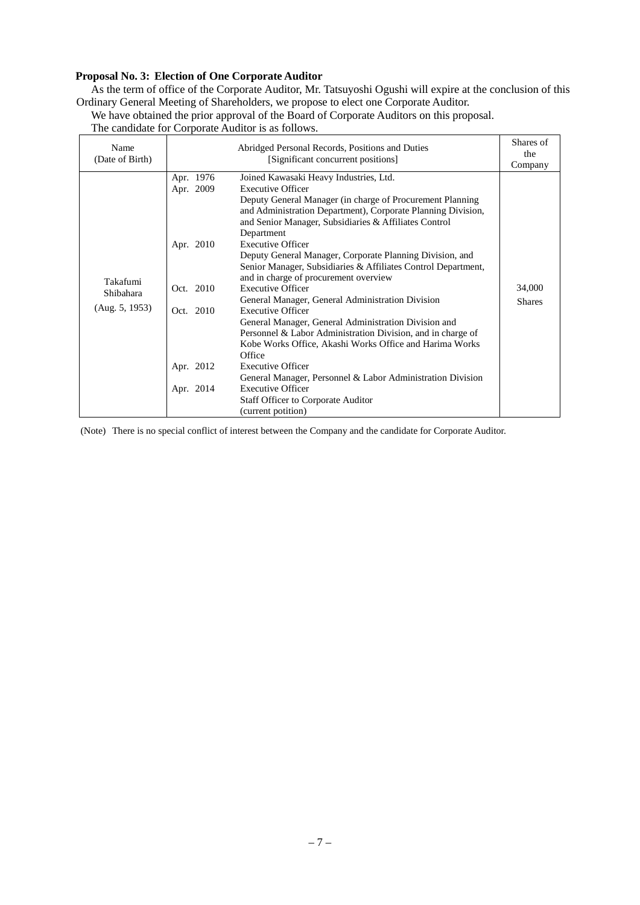## **Proposal No. 3: Election of One Corporate Auditor**

As the term of office of the Corporate Auditor, Mr. Tatsuyoshi Ogushi will expire at the conclusion of this Ordinary General Meeting of Shareholders, we propose to elect one Corporate Auditor.

We have obtained the prior approval of the Board of Corporate Auditors on this proposal.

The candidate for Corporate Auditor is as follows.

| Name<br>(Date of Birth)                        |                                                               | Abridged Personal Records, Positions and Duties<br>[Significant concurrent positions]                                                                                                                                                                                                                                                                                                                                                                                                                                                                                                                                                         | Shares of<br>the<br>Company |
|------------------------------------------------|---------------------------------------------------------------|-----------------------------------------------------------------------------------------------------------------------------------------------------------------------------------------------------------------------------------------------------------------------------------------------------------------------------------------------------------------------------------------------------------------------------------------------------------------------------------------------------------------------------------------------------------------------------------------------------------------------------------------------|-----------------------------|
| Takafumi<br><b>Shibahara</b><br>(Aug. 5, 1953) | Apr. 1976<br>Apr. 2009<br>Apr. 2010<br>Oct. 2010<br>Oct. 2010 | Joined Kawasaki Heavy Industries, Ltd.<br><b>Executive Officer</b><br>Deputy General Manager (in charge of Procurement Planning)<br>and Administration Department), Corporate Planning Division,<br>and Senior Manager, Subsidiaries & Affiliates Control<br>Department<br><b>Executive Officer</b><br>Deputy General Manager, Corporate Planning Division, and<br>Senior Manager, Subsidiaries & Affiliates Control Department,<br>and in charge of procurement overview<br><b>Executive Officer</b><br>General Manager, General Administration Division<br><b>Executive Officer</b><br>General Manager, General Administration Division and | 34,000<br><b>Shares</b>     |
|                                                | Apr. 2012<br>Apr. 2014                                        | Personnel & Labor Administration Division, and in charge of<br>Kobe Works Office, Akashi Works Office and Harima Works<br>Office<br><b>Executive Officer</b>                                                                                                                                                                                                                                                                                                                                                                                                                                                                                  |                             |
|                                                |                                                               | General Manager, Personnel & Labor Administration Division<br><b>Executive Officer</b><br><b>Staff Officer to Corporate Auditor</b><br>(current potition)                                                                                                                                                                                                                                                                                                                                                                                                                                                                                     |                             |

(Note) There is no special conflict of interest between the Company and the candidate for Corporate Auditor.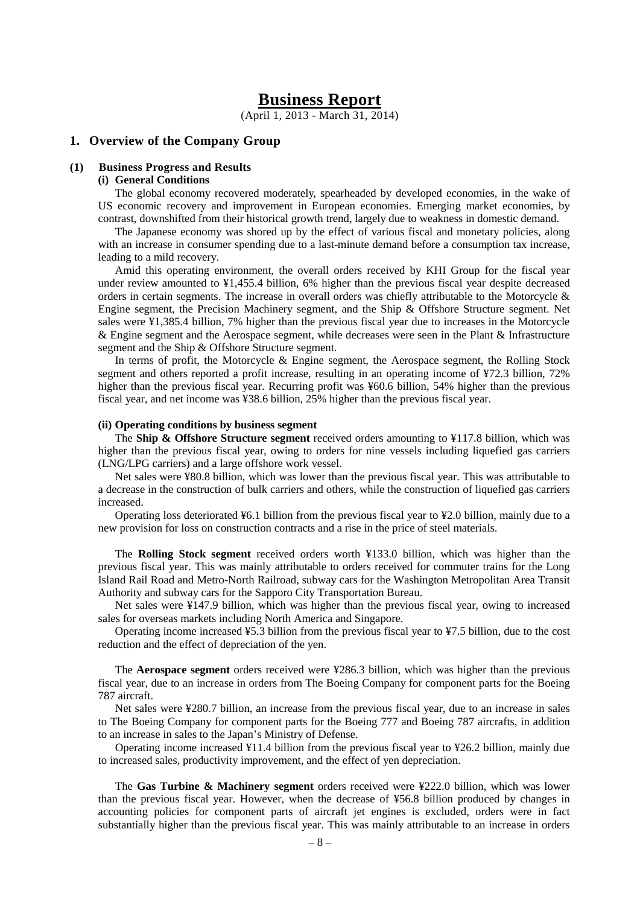## **Business Report**

(April 1, 2013 - March 31, 2014)

#### **1. Overview of the Company Group**

#### **(1) Business Progress and Results**

#### **(i) General Conditions**

The global economy recovered moderately, spearheaded by developed economies, in the wake of US economic recovery and improvement in European economies. Emerging market economies, by contrast, downshifted from their historical growth trend, largely due to weakness in domestic demand.

The Japanese economy was shored up by the effect of various fiscal and monetary policies, along with an increase in consumer spending due to a last-minute demand before a consumption tax increase, leading to a mild recovery.

Amid this operating environment, the overall orders received by KHI Group for the fiscal year under review amounted to ¥1,455.4 billion, 6% higher than the previous fiscal year despite decreased orders in certain segments. The increase in overall orders was chiefly attributable to the Motorcycle  $\&$ Engine segment, the Precision Machinery segment, and the Ship & Offshore Structure segment. Net sales were ¥1,385.4 billion, 7% higher than the previous fiscal year due to increases in the Motorcycle & Engine segment and the Aerospace segment, while decreases were seen in the Plant & Infrastructure segment and the Ship & Offshore Structure segment.

In terms of profit, the Motorcycle & Engine segment, the Aerospace segment, the Rolling Stock segment and others reported a profit increase, resulting in an operating income of ¥72.3 billion, 72% higher than the previous fiscal year. Recurring profit was ¥60.6 billion, 54% higher than the previous fiscal year, and net income was ¥38.6 billion, 25% higher than the previous fiscal year.

#### **(ii) Operating conditions by business segment**

The **Ship & Offshore Structure segment** received orders amounting to ¥117.8 billion, which was higher than the previous fiscal year, owing to orders for nine vessels including liquefied gas carriers (LNG/LPG carriers) and a large offshore work vessel.

Net sales were ¥80.8 billion, which was lower than the previous fiscal year. This was attributable to a decrease in the construction of bulk carriers and others, while the construction of liquefied gas carriers increased.

Operating loss deteriorated ¥6.1 billion from the previous fiscal year to ¥2.0 billion, mainly due to a new provision for loss on construction contracts and a rise in the price of steel materials.

The **Rolling Stock segment** received orders worth ¥133.0 billion, which was higher than the previous fiscal year. This was mainly attributable to orders received for commuter trains for the Long Island Rail Road and Metro-North Railroad, subway cars for the Washington Metropolitan Area Transit Authority and subway cars for the Sapporo City Transportation Bureau.

Net sales were ¥147.9 billion, which was higher than the previous fiscal year, owing to increased sales for overseas markets including North America and Singapore.

Operating income increased ¥5.3 billion from the previous fiscal year to ¥7.5 billion, due to the cost reduction and the effect of depreciation of the yen.

The **Aerospace segment** orders received were ¥286.3 billion, which was higher than the previous fiscal year, due to an increase in orders from The Boeing Company for component parts for the Boeing 787 aircraft.

Net sales were ¥280.7 billion, an increase from the previous fiscal year, due to an increase in sales to The Boeing Company for component parts for the Boeing 777 and Boeing 787 aircrafts, in addition to an increase in sales to the Japan's Ministry of Defense.

Operating income increased ¥11.4 billion from the previous fiscal year to ¥26.2 billion, mainly due to increased sales, productivity improvement, and the effect of yen depreciation.

The **Gas Turbine & Machinery segment** orders received were ¥222.0 billion, which was lower than the previous fiscal year. However, when the decrease of ¥56.8 billion produced by changes in accounting policies for component parts of aircraft jet engines is excluded, orders were in fact substantially higher than the previous fiscal year. This was mainly attributable to an increase in orders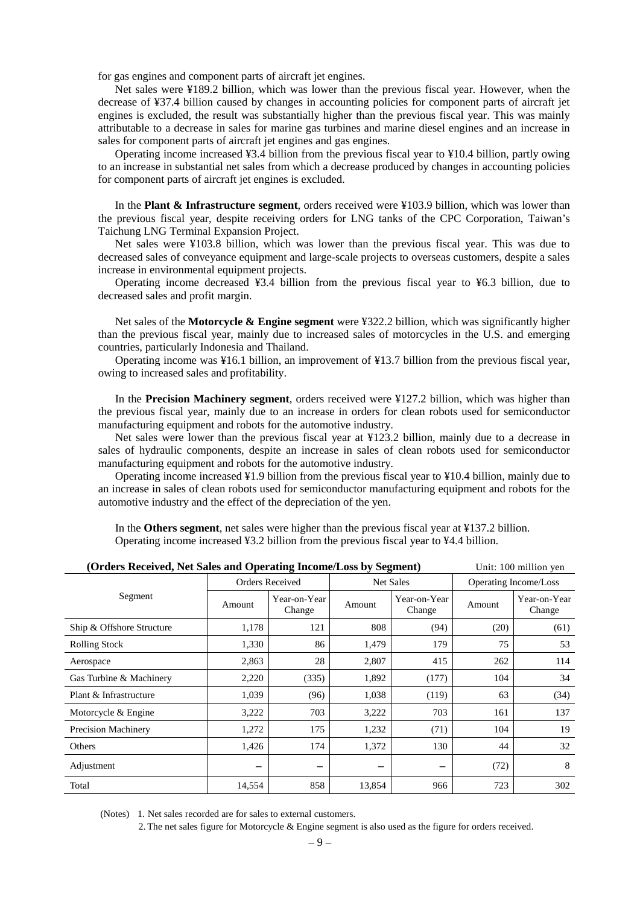for gas engines and component parts of aircraft jet engines.

Net sales were ¥189.2 billion, which was lower than the previous fiscal year. However, when the decrease of ¥37.4 billion caused by changes in accounting policies for component parts of aircraft jet engines is excluded, the result was substantially higher than the previous fiscal year. This was mainly attributable to a decrease in sales for marine gas turbines and marine diesel engines and an increase in sales for component parts of aircraft jet engines and gas engines.

Operating income increased ¥3.4 billion from the previous fiscal year to ¥10.4 billion, partly owing to an increase in substantial net sales from which a decrease produced by changes in accounting policies for component parts of aircraft jet engines is excluded.

In the **Plant & Infrastructure segment**, orders received were ¥103.9 billion, which was lower than the previous fiscal year, despite receiving orders for LNG tanks of the CPC Corporation, Taiwan's Taichung LNG Terminal Expansion Project.

Net sales were ¥103.8 billion, which was lower than the previous fiscal year. This was due to decreased sales of conveyance equipment and large-scale projects to overseas customers, despite a sales increase in environmental equipment projects.

Operating income decreased ¥3.4 billion from the previous fiscal year to ¥6.3 billion, due to decreased sales and profit margin.

Net sales of the **Motorcycle & Engine segment** were ¥322.2 billion, which was significantly higher than the previous fiscal year, mainly due to increased sales of motorcycles in the U.S. and emerging countries, particularly Indonesia and Thailand.

Operating income was ¥16.1 billion, an improvement of ¥13.7 billion from the previous fiscal year, owing to increased sales and profitability.

In the **Precision Machinery segment**, orders received were ¥127.2 billion, which was higher than the previous fiscal year, mainly due to an increase in orders for clean robots used for semiconductor manufacturing equipment and robots for the automotive industry.

Net sales were lower than the previous fiscal year at ¥123.2 billion, mainly due to a decrease in sales of hydraulic components, despite an increase in sales of clean robots used for semiconductor manufacturing equipment and robots for the automotive industry.

Operating income increased ¥1.9 billion from the previous fiscal year to ¥10.4 billion, mainly due to an increase in sales of clean robots used for semiconductor manufacturing equipment and robots for the automotive industry and the effect of the depreciation of the yen.

In the **Others segment**, net sales were higher than the previous fiscal year at ¥137.2 billion. Operating income increased ¥3.2 billion from the previous fiscal year to ¥4.4 billion.

|                            |                        | (Orders Received, Net Sales and Operating Income/Loss by Segment) |                  |                        |                       | Unit: 100 million yen  |  |
|----------------------------|------------------------|-------------------------------------------------------------------|------------------|------------------------|-----------------------|------------------------|--|
|                            | <b>Orders Received</b> |                                                                   | <b>Net Sales</b> |                        | Operating Income/Loss |                        |  |
| Segment                    | Amount                 | Year-on-Year<br>Change                                            | Amount           | Year-on-Year<br>Change | Amount                | Year-on-Year<br>Change |  |
| Ship & Offshore Structure  | 1,178                  | 121                                                               | 808              | (94)                   | (20)                  | (61)                   |  |
| <b>Rolling Stock</b>       | 1,330                  | 86                                                                | 1,479            | 179                    | 75                    | 53                     |  |
| Aerospace                  | 2,863                  | 28                                                                | 2,807            | 415                    | 262                   | 114                    |  |
| Gas Turbine & Machinery    | 2,220                  | (335)                                                             | 1,892            | (177)                  | 104                   | 34                     |  |
| Plant & Infrastructure     | 1,039                  | (96)                                                              | 1,038            | (119)                  | 63                    | (34)                   |  |
| Motorcycle & Engine        | 3,222                  | 703                                                               | 3,222            | 703                    | 161                   | 137                    |  |
| <b>Precision Machinery</b> | 1,272                  | 175                                                               | 1,232            | (71)                   | 104                   | 19                     |  |
| Others                     | 1,426                  | 174                                                               | 1,372            | 130                    | 44                    | 32                     |  |
| Adjustment                 |                        |                                                                   |                  |                        | (72)                  | 8                      |  |
| Total                      | 14,554                 | 858                                                               | 13,854           | 966                    | 723                   | 302                    |  |

(Notes) 1. Net sales recorded are for sales to external customers.

2. The net sales figure for Motorcycle & Engine segment is also used as the figure for orders received.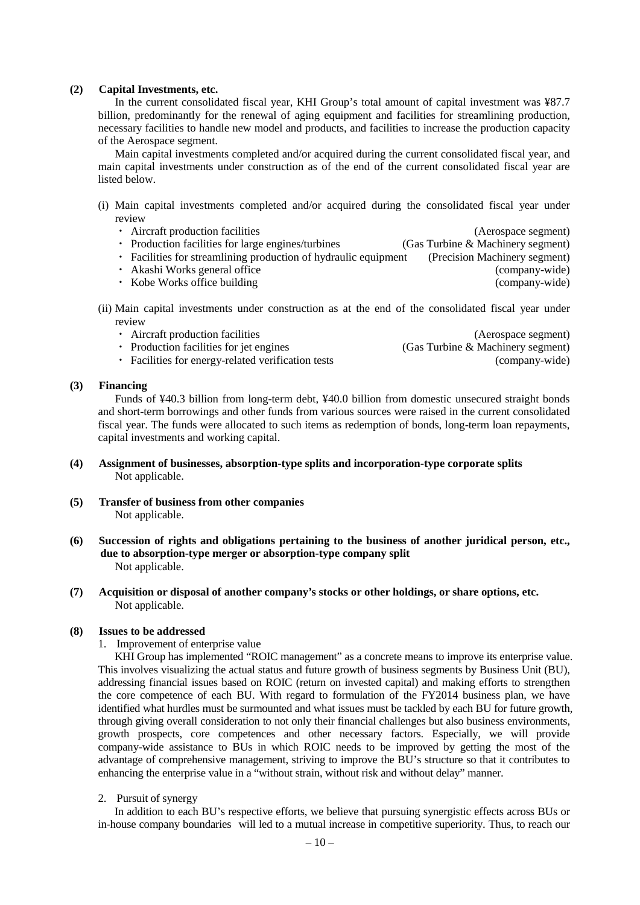#### **(2) Capital Investments, etc.**

In the current consolidated fiscal year, KHI Group's total amount of capital investment was ¥87.7 billion, predominantly for the renewal of aging equipment and facilities for streamlining production, necessary facilities to handle new model and products, and facilities to increase the production capacity of the Aerospace segment.

Main capital investments completed and/or acquired during the current consolidated fiscal year, and main capital investments under construction as of the end of the current consolidated fiscal year are listed below.

(i) Main capital investments completed and/or acquired during the consolidated fiscal year under review

| • Aircraft production facilities                                | (Aerospace segment)               |
|-----------------------------------------------------------------|-----------------------------------|
| • Production facilities for large engines/turbines              | (Gas Turbine & Machinery segment) |
| • Facilities for streamlining production of hydraulic equipment | (Precision Machinery segment)     |
| • Akashi Works general office                                   | (company-wide)                    |
| • Kobe Works office building                                    | (company-wide)                    |

(ii) Main capital investments under construction as at the end of the consolidated fiscal year under review

| • Aircraft production facilities                   | (Aerospace segment)               |
|----------------------------------------------------|-----------------------------------|
| • Production facilities for jet engines            | (Gas Turbine & Machinery segment) |
| • Facilities for energy-related verification tests | (company-wide)                    |

#### **(3) Financing**

Funds of ¥40.3 billion from long-term debt, ¥40.0 billion from domestic unsecured straight bonds and short-term borrowings and other funds from various sources were raised in the current consolidated fiscal year. The funds were allocated to such items as redemption of bonds, long-term loan repayments, capital investments and working capital.

- **(4) Assignment of businesses, absorption-type splits and incorporation-type corporate splits** Not applicable.
- **(5) Transfer of business from other companies** Not applicable.
- **(6) Succession of rights and obligations pertaining to the business of another juridical person, etc., due to absorption-type merger or absorption-type company split** Not applicable.
- **(7) Acquisition or disposal of another company's stocks or other holdings, or share options, etc.** Not applicable.

#### **(8) Issues to be addressed**

1. Improvement of enterprise value

KHI Group has implemented "ROIC management" as a concrete means to improve its enterprise value. This involves visualizing the actual status and future growth of business segments by Business Unit (BU), addressing financial issues based on ROIC (return on invested capital) and making efforts to strengthen the core competence of each BU. With regard to formulation of the FY2014 business plan, we have identified what hurdles must be surmounted and what issues must be tackled by each BU for future growth, through giving overall consideration to not only their financial challenges but also business environments, growth prospects, core competences and other necessary factors. Especially, we will provide company-wide assistance to BUs in which ROIC needs to be improved by getting the most of the advantage of comprehensive management, striving to improve the BU's structure so that it contributes to enhancing the enterprise value in a "without strain, without risk and without delay" manner.

2. Pursuit of synergy

In addition to each BU's respective efforts, we believe that pursuing synergistic effects across BUs or in-house company boundaries will led to a mutual increase in competitive superiority. Thus, to reach our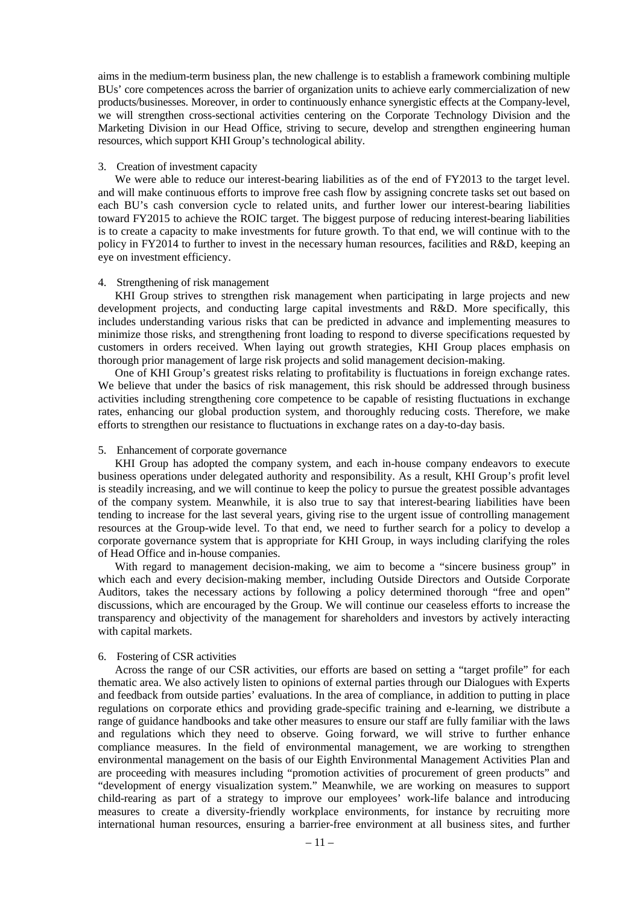aims in the medium-term business plan, the new challenge is to establish a framework combining multiple BUs' core competences across the barrier of organization units to achieve early commercialization of new products/businesses. Moreover, in order to continuously enhance synergistic effects at the Company-level, we will strengthen cross-sectional activities centering on the Corporate Technology Division and the Marketing Division in our Head Office, striving to secure, develop and strengthen engineering human resources, which support KHI Group's technological ability.

#### 3. Creation of investment capacity

We were able to reduce our interest-bearing liabilities as of the end of FY2013 to the target level. and will make continuous efforts to improve free cash flow by assigning concrete tasks set out based on each BU's cash conversion cycle to related units, and further lower our interest-bearing liabilities toward FY2015 to achieve the ROIC target. The biggest purpose of reducing interest-bearing liabilities is to create a capacity to make investments for future growth. To that end, we will continue with to the policy in FY2014 to further to invest in the necessary human resources, facilities and R&D, keeping an eye on investment efficiency.

#### 4. Strengthening of risk management

KHI Group strives to strengthen risk management when participating in large projects and new development projects, and conducting large capital investments and R&D. More specifically, this includes understanding various risks that can be predicted in advance and implementing measures to minimize those risks, and strengthening front loading to respond to diverse specifications requested by customers in orders received. When laying out growth strategies, KHI Group places emphasis on thorough prior management of large risk projects and solid management decision-making.

One of KHI Group's greatest risks relating to profitability is fluctuations in foreign exchange rates. We believe that under the basics of risk management, this risk should be addressed through business activities including strengthening core competence to be capable of resisting fluctuations in exchange rates, enhancing our global production system, and thoroughly reducing costs. Therefore, we make efforts to strengthen our resistance to fluctuations in exchange rates on a day-to-day basis.

#### 5. Enhancement of corporate governance

KHI Group has adopted the company system, and each in-house company endeavors to execute business operations under delegated authority and responsibility. As a result, KHI Group's profit level is steadily increasing, and we will continue to keep the policy to pursue the greatest possible advantages of the company system. Meanwhile, it is also true to say that interest-bearing liabilities have been tending to increase for the last several years, giving rise to the urgent issue of controlling management resources at the Group-wide level. To that end, we need to further search for a policy to develop a corporate governance system that is appropriate for KHI Group, in ways including clarifying the roles of Head Office and in-house companies.

With regard to management decision-making, we aim to become a "sincere business group" in which each and every decision-making member, including Outside Directors and Outside Corporate Auditors, takes the necessary actions by following a policy determined thorough "free and open" discussions, which are encouraged by the Group. We will continue our ceaseless efforts to increase the transparency and objectivity of the management for shareholders and investors by actively interacting with capital markets.

#### 6. Fostering of CSR activities

Across the range of our CSR activities, our efforts are based on setting a "target profile" for each thematic area. We also actively listen to opinions of external parties through our Dialogues with Experts and feedback from outside parties' evaluations. In the area of compliance, in addition to putting in place regulations on corporate ethics and providing grade-specific training and e-learning, we distribute a range of guidance handbooks and take other measures to ensure our staff are fully familiar with the laws and regulations which they need to observe. Going forward, we will strive to further enhance compliance measures. In the field of environmental management, we are working to strengthen environmental management on the basis of our Eighth Environmental Management Activities Plan and are proceeding with measures including "promotion activities of procurement of green products" and "development of energy visualization system." Meanwhile, we are working on measures to support child-rearing as part of a strategy to improve our employees' work-life balance and introducing measures to create a diversity-friendly workplace environments, for instance by recruiting more international human resources, ensuring a barrier-free environment at all business sites, and further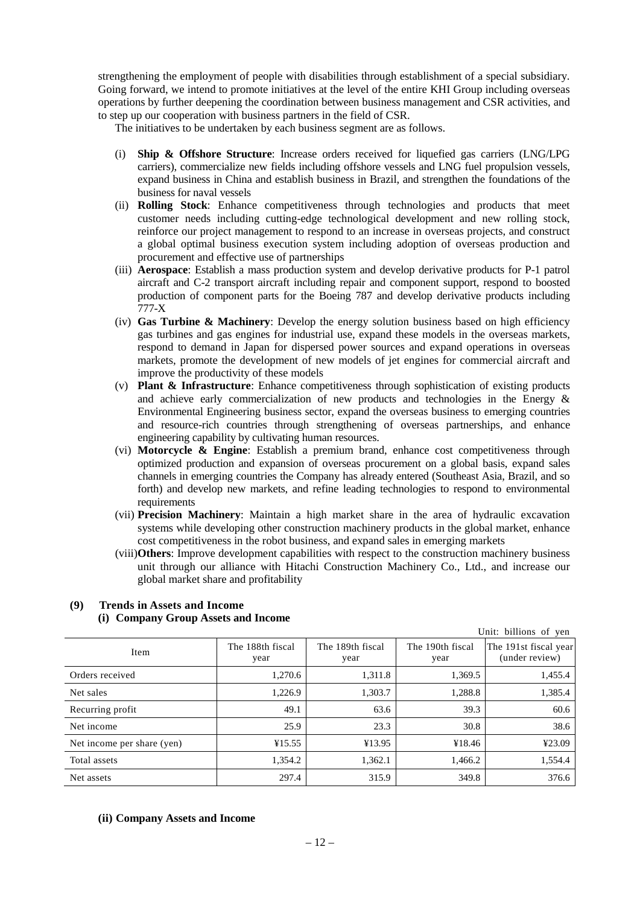strengthening the employment of people with disabilities through establishment of a special subsidiary. Going forward, we intend to promote initiatives at the level of the entire KHI Group including overseas operations by further deepening the coordination between business management and CSR activities, and to step up our cooperation with business partners in the field of CSR.

The initiatives to be undertaken by each business segment are as follows.

- (i) **Ship & Offshore Structure**: Increase orders received for liquefied gas carriers (LNG/LPG carriers), commercialize new fields including offshore vessels and LNG fuel propulsion vessels, expand business in China and establish business in Brazil, and strengthen the foundations of the business for naval vessels
- (ii) **Rolling Stock**: Enhance competitiveness through technologies and products that meet customer needs including cutting-edge technological development and new rolling stock, reinforce our project management to respond to an increase in overseas projects, and construct a global optimal business execution system including adoption of overseas production and procurement and effective use of partnerships
- (iii) **Aerospace**: Establish a mass production system and develop derivative products for P-1 patrol aircraft and C-2 transport aircraft including repair and component support, respond to boosted production of component parts for the Boeing 787 and develop derivative products including 777-X
- (iv) **Gas Turbine & Machinery**: Develop the energy solution business based on high efficiency gas turbines and gas engines for industrial use, expand these models in the overseas markets, respond to demand in Japan for dispersed power sources and expand operations in overseas markets, promote the development of new models of jet engines for commercial aircraft and improve the productivity of these models
- (v) **Plant & Infrastructure**: Enhance competitiveness through sophistication of existing products and achieve early commercialization of new products and technologies in the Energy & Environmental Engineering business sector, expand the overseas business to emerging countries and resource-rich countries through strengthening of overseas partnerships, and enhance engineering capability by cultivating human resources.
- (vi) **Motorcycle & Engine**: Establish a premium brand, enhance cost competitiveness through optimized production and expansion of overseas procurement on a global basis, expand sales channels in emerging countries the Company has already entered (Southeast Asia, Brazil, and so forth) and develop new markets, and refine leading technologies to respond to environmental requirements
- (vii) **Precision Machinery**: Maintain a high market share in the area of hydraulic excavation systems while developing other construction machinery products in the global market, enhance cost competitiveness in the robot business, and expand sales in emerging markets
- (viii)**Others**: Improve development capabilities with respect to the construction machinery business unit through our alliance with Hitachi Construction Machinery Co., Ltd., and increase our global market share and profitability

| Unit: billions of yen      |                          |                          |                          |                                         |  |  |
|----------------------------|--------------------------|--------------------------|--------------------------|-----------------------------------------|--|--|
| Item                       | The 188th fiscal<br>year | The 189th fiscal<br>year | The 190th fiscal<br>year | The 191st fiscal year<br>(under review) |  |  |
| Orders received            | 1,270.6                  | 1,311.8                  | 1,369.5                  | 1,455.4                                 |  |  |
| Net sales                  | 1,226.9                  | 1,303.7                  | 1,288.8                  | 1,385.4                                 |  |  |
| Recurring profit           | 49.1                     | 63.6                     | 39.3                     | 60.6                                    |  |  |
| Net income                 | 25.9                     | 23.3                     | 30.8                     | 38.6                                    |  |  |
| Net income per share (yen) | ¥15.55                   | ¥13.95                   | ¥18.46                   | ¥23.09                                  |  |  |
| Total assets               | 1,354.2                  | 1,362.1                  | 1,466.2                  | 1,554.4                                 |  |  |
| Net assets                 | 297.4                    | 315.9                    | 349.8                    | 376.6                                   |  |  |

## **(9) Trends in Assets and Income (i) Company Group Assets and Income**

## **(ii) Company Assets and Income**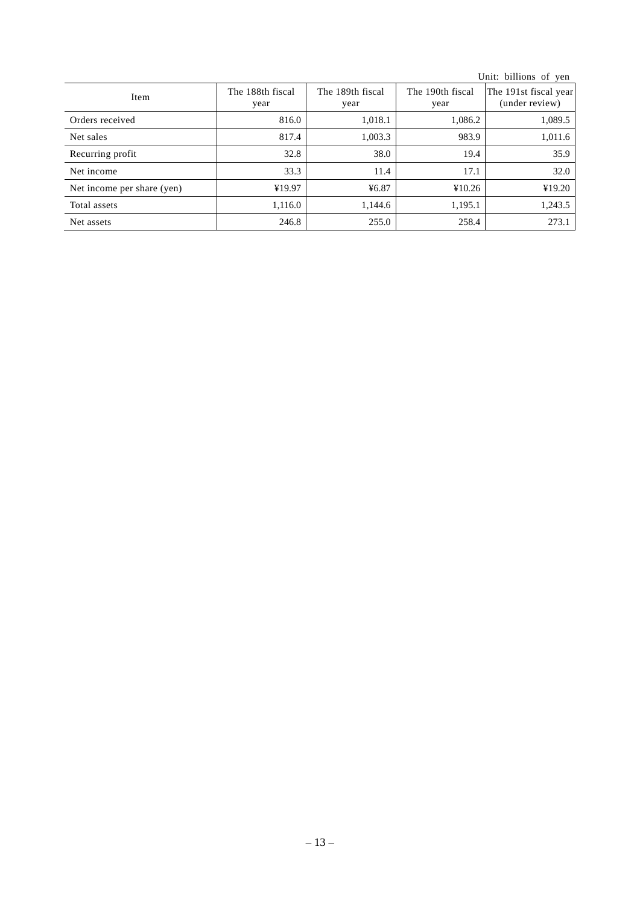|                            |                          |                          |                          | Unit: billions of yen                   |
|----------------------------|--------------------------|--------------------------|--------------------------|-----------------------------------------|
| Item                       | The 188th fiscal<br>year | The 189th fiscal<br>year | The 190th fiscal<br>year | The 191st fiscal year<br>(under review) |
| Orders received            | 816.0                    | 1,018.1                  | 1,086.2                  | 1,089.5                                 |
| Net sales                  | 817.4                    | 1,003.3                  | 983.9                    | 1,011.6                                 |
| Recurring profit           | 32.8                     | 38.0                     | 19.4                     | 35.9                                    |
| Net income                 | 33.3                     | 11.4                     | 17.1                     | 32.0                                    |
| Net income per share (yen) | ¥19.97                   | 46.87                    | ¥10.26                   | ¥19.20                                  |
| Total assets               | 1,116.0                  | 1,144.6                  | 1,195.1                  | 1,243.5                                 |
| Net assets                 | 246.8                    | 255.0                    | 258.4                    | 273.1                                   |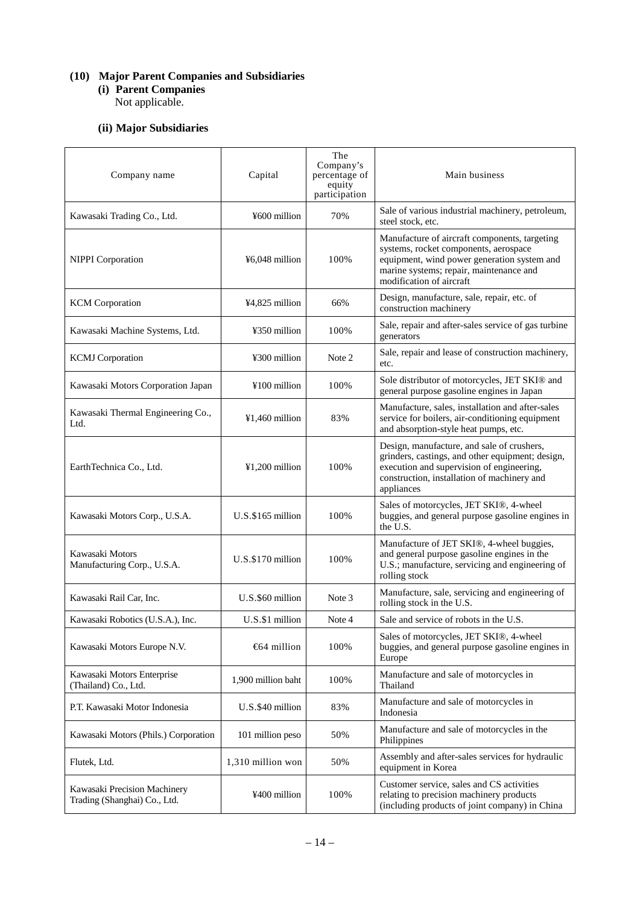## **(10) Major Parent Companies and Subsidiaries**

**(i) Parent Companies** Not applicable.

## **(ii) Major Subsidiaries**

| Company name                                                 | Capital              | The<br>Company's<br>percentage of<br>equity<br>participation | Main business                                                                                                                                                                                                |
|--------------------------------------------------------------|----------------------|--------------------------------------------------------------|--------------------------------------------------------------------------------------------------------------------------------------------------------------------------------------------------------------|
| Kawasaki Trading Co., Ltd.                                   | ¥600 million         | 70%                                                          | Sale of various industrial machinery, petroleum,<br>steel stock, etc.                                                                                                                                        |
| <b>NIPPI</b> Corporation                                     | ¥6,048 million       | 100%                                                         | Manufacture of aircraft components, targeting<br>systems, rocket components, aerospace<br>equipment, wind power generation system and<br>marine systems; repair, maintenance and<br>modification of aircraft |
| <b>KCM</b> Corporation                                       | ¥4,825 million       | 66%                                                          | Design, manufacture, sale, repair, etc. of<br>construction machinery                                                                                                                                         |
| Kawasaki Machine Systems, Ltd.                               | ¥350 million         | 100%                                                         | Sale, repair and after-sales service of gas turbine<br>generators                                                                                                                                            |
| <b>KCMJ</b> Corporation                                      | ¥300 million         | Note 2                                                       | Sale, repair and lease of construction machinery,<br>etc.                                                                                                                                                    |
| Kawasaki Motors Corporation Japan                            | ¥100 million         | 100%                                                         | Sole distributor of motorcycles, JET SKI® and<br>general purpose gasoline engines in Japan                                                                                                                   |
| Kawasaki Thermal Engineering Co.,<br>Ltd.                    | $¥1,460$ million     | 83%                                                          | Manufacture, sales, installation and after-sales<br>service for boilers, air-conditioning equipment<br>and absorption-style heat pumps, etc.                                                                 |
| EarthTechnica Co., Ltd.                                      | $¥1,200$ million     | 100%                                                         | Design, manufacture, and sale of crushers,<br>grinders, castings, and other equipment; design,<br>execution and supervision of engineering,<br>construction, installation of machinery and<br>appliances     |
| Kawasaki Motors Corp., U.S.A.                                | $U.S. \$165$ million | 100%                                                         | Sales of motorcycles, JET SKI®, 4-wheel<br>buggies, and general purpose gasoline engines in<br>the U.S.                                                                                                      |
| Kawasaki Motors<br>Manufacturing Corp., U.S.A.               | U.S.\$170 million    | 100%                                                         | Manufacture of JET SKI®, 4-wheel buggies,<br>and general purpose gasoline engines in the<br>U.S.; manufacture, servicing and engineering of<br>rolling stock                                                 |
| Kawasaki Rail Car, Inc.                                      | U.S.\$60 million     | Note 3                                                       | Manufacture, sale, servicing and engineering of<br>rolling stock in the U.S.                                                                                                                                 |
| Kawasaki Robotics (U.S.A.), Inc.                             | U.S.\$1 million      | Note 4                                                       | Sale and service of robots in the U.S.                                                                                                                                                                       |
| Kawasaki Motors Europe N.V.                                  | $664$ million        | 100%                                                         | Sales of motorcycles, JET SKI®, 4-wheel<br>buggies, and general purpose gasoline engines in<br>Europe                                                                                                        |
| Kawasaki Motors Enterprise<br>(Thailand) Co., Ltd.           | 1,900 million baht   | 100%                                                         | Manufacture and sale of motorcycles in<br>Thailand                                                                                                                                                           |
| P.T. Kawasaki Motor Indonesia                                | U.S.\$40 million     | 83%                                                          | Manufacture and sale of motorcycles in<br>Indonesia                                                                                                                                                          |
| Kawasaki Motors (Phils.) Corporation                         | 101 million peso     | 50%                                                          | Manufacture and sale of motorcycles in the<br>Philippines                                                                                                                                                    |
| Flutek, Ltd.                                                 | 1,310 million won    | 50%                                                          | Assembly and after-sales services for hydraulic<br>equipment in Korea                                                                                                                                        |
| Kawasaki Precision Machinery<br>Trading (Shanghai) Co., Ltd. | ¥400 million         | 100%                                                         | Customer service, sales and CS activities<br>relating to precision machinery products<br>(including products of joint company) in China                                                                      |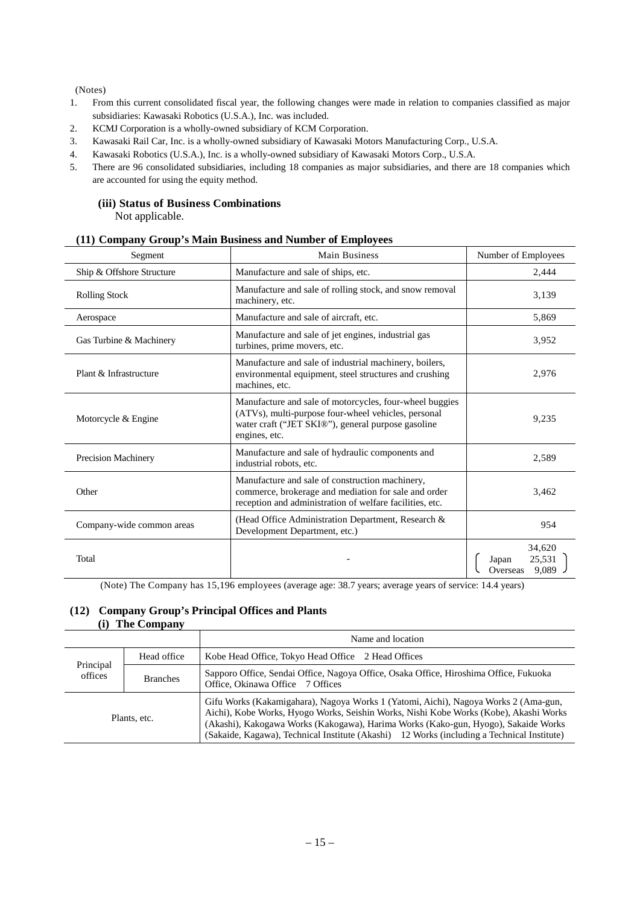(Notes)

- 1. From this current consolidated fiscal year, the following changes were made in relation to companies classified as major subsidiaries: Kawasaki Robotics (U.S.A.), Inc. was included.
- 2. KCMJ Corporation is a wholly-owned subsidiary of KCM Corporation.
- 3. Kawasaki Rail Car, Inc. is a wholly-owned subsidiary of Kawasaki Motors Manufacturing Corp., U.S.A.
- 4. Kawasaki Robotics (U.S.A.), Inc. is a wholly-owned subsidiary of Kawasaki Motors Corp., U.S.A.
- 5. There are 96 consolidated subsidiaries, including 18 companies as major subsidiaries, and there are 18 companies which are accounted for using the equity method.

#### **(iii) Status of Business Combinations** Not applicable.

| Segment                   | <b>Main Business</b>                                                                                                                                                                  | Number of Employees                            |
|---------------------------|---------------------------------------------------------------------------------------------------------------------------------------------------------------------------------------|------------------------------------------------|
| Ship & Offshore Structure | Manufacture and sale of ships, etc.                                                                                                                                                   | 2,444                                          |
| <b>Rolling Stock</b>      | Manufacture and sale of rolling stock, and snow removal<br>machinery, etc.                                                                                                            | 3,139                                          |
| Aerospace                 | Manufacture and sale of aircraft, etc.                                                                                                                                                | 5,869                                          |
| Gas Turbine & Machinery   | Manufacture and sale of jet engines, industrial gas<br>turbines, prime movers, etc.                                                                                                   | 3,952                                          |
| Plant & Infrastructure    | Manufacture and sale of industrial machinery, boilers,<br>environmental equipment, steel structures and crushing<br>machines, etc.                                                    | 2,976                                          |
| Motorcycle & Engine       | Manufacture and sale of motorcycles, four-wheel buggies<br>(ATVs), multi-purpose four-wheel vehicles, personal<br>water craft ("JET SKI®"), general purpose gasoline<br>engines, etc. | 9,235                                          |
| Precision Machinery       | Manufacture and sale of hydraulic components and<br>industrial robots, etc.                                                                                                           | 2,589                                          |
| Other                     | Manufacture and sale of construction machinery,<br>commerce, brokerage and mediation for sale and order<br>reception and administration of welfare facilities, etc.                   | 3,462                                          |
| Company-wide common areas | (Head Office Administration Department, Research &<br>Development Department, etc.)                                                                                                   | 954                                            |
| Total                     |                                                                                                                                                                                       | 34,620<br>25,531<br>Japan<br>9,089<br>Overseas |

## **(11) Company Group's Main Business and Number of Employees**

(Note) The Company has 15,196 employees (average age: 38.7 years; average years of service: 14.4 years)

## **(12) Company Group's Principal Offices and Plants (i) The Company**

|                                                                                                                                                                      |             | Name and location                                                                                                                                                                                                                                                                                                                                                |
|----------------------------------------------------------------------------------------------------------------------------------------------------------------------|-------------|------------------------------------------------------------------------------------------------------------------------------------------------------------------------------------------------------------------------------------------------------------------------------------------------------------------------------------------------------------------|
|                                                                                                                                                                      | Head office | Kobe Head Office, Tokyo Head Office 2 Head Offices                                                                                                                                                                                                                                                                                                               |
| Principal<br>Sapporo Office, Sendai Office, Nagoya Office, Osaka Office, Hiroshima Office, Fukuoka<br>offices<br><b>Branches</b><br>Office, Okinawa Office 7 Offices |             |                                                                                                                                                                                                                                                                                                                                                                  |
| Plants, etc.                                                                                                                                                         |             | Gifu Works (Kakamigahara), Nagoya Works 1 (Yatomi, Aichi), Nagoya Works 2 (Ama-gun,<br>Aichi), Kobe Works, Hyogo Works, Seishin Works, Nishi Kobe Works (Kobe), Akashi Works<br>(Akashi), Kakogawa Works (Kakogawa), Harima Works (Kako-gun, Hyogo), Sakaide Works<br>(Sakaide, Kagawa), Technical Institute (Akashi) 12 Works (including a Technical Institute) |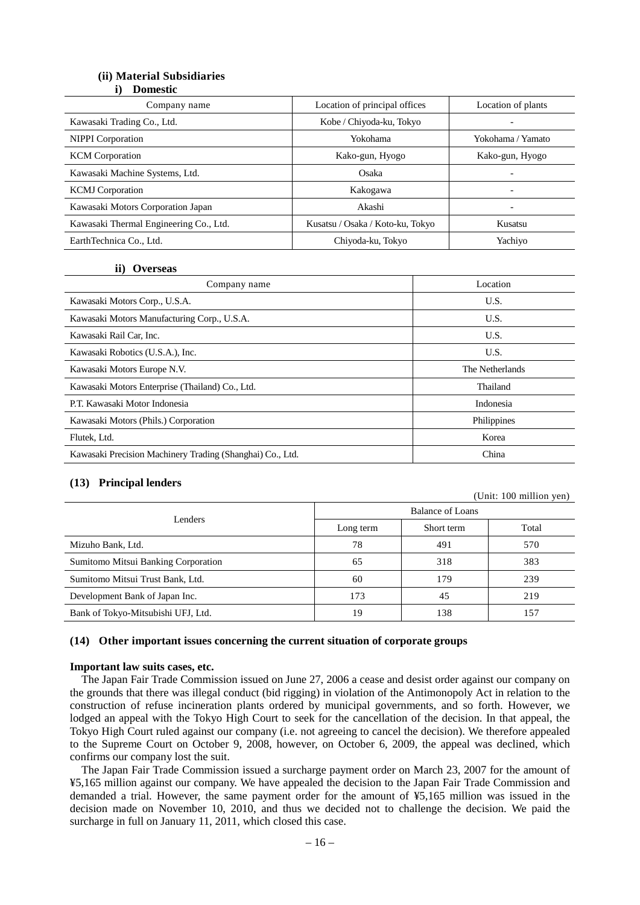## **(ii) Material Subsidiaries**

**i) Domestic**

| Company name                           | Location of principal offices    | Location of plants       |
|----------------------------------------|----------------------------------|--------------------------|
| Kawasaki Trading Co., Ltd.             | Kobe / Chiyoda-ku, Tokyo         |                          |
| <b>NIPPI</b> Corporation               | Yokohama                         | Yokohama / Yamato        |
| <b>KCM</b> Corporation                 | Kako-gun, Hyogo                  | Kako-gun, Hyogo          |
| Kawasaki Machine Systems, Ltd.         | Osaka                            | $\overline{\phantom{0}}$ |
| <b>KCMJ</b> Corporation                | Kakogawa                         | $\overline{\phantom{0}}$ |
| Kawasaki Motors Corporation Japan      | Akashi                           | $\overline{\phantom{0}}$ |
| Kawasaki Thermal Engineering Co., Ltd. | Kusatsu / Osaka / Koto-ku, Tokyo | Kusatsu                  |
| EarthTechnica Co., Ltd.                | Chiyoda-ku, Tokyo                | Yachiyo                  |

#### **ii) Overseas**

| Company name                                              | Location        |
|-----------------------------------------------------------|-----------------|
| Kawasaki Motors Corp., U.S.A.                             | U.S.            |
| Kawasaki Motors Manufacturing Corp., U.S.A.               | U.S.            |
| Kawasaki Rail Car, Inc.                                   | U.S.            |
| Kawasaki Robotics (U.S.A.), Inc.                          | U.S.            |
| Kawasaki Motors Europe N.V.                               | The Netherlands |
| Kawasaki Motors Enterprise (Thailand) Co., Ltd.           | Thailand        |
| P.T. Kawasaki Motor Indonesia                             | Indonesia       |
| Kawasaki Motors (Phils.) Corporation                      | Philippines     |
| Flutek, Ltd.                                              | Korea           |
| Kawasaki Precision Machinery Trading (Shanghai) Co., Ltd. | China           |

#### **(13) Principal lenders**

(Unit: 100 million yen)

|                                     | <b>Balance of Loans</b> |            |       |
|-------------------------------------|-------------------------|------------|-------|
| Lenders                             | Long term               | Short term | Total |
| Mizuho Bank, Ltd.                   | 78                      | 491        | 570   |
| Sumitomo Mitsui Banking Corporation | 65                      | 318        | 383   |
| Sumitomo Mitsui Trust Bank, Ltd.    | 60                      | 179        | 239   |
| Development Bank of Japan Inc.      | 173                     | 45         | 219   |
| Bank of Tokyo-Mitsubishi UFJ, Ltd.  | 19                      | 138        | 157   |

#### **(14) Other important issues concerning the current situation of corporate groups**

#### **Important law suits cases, etc.**

The Japan Fair Trade Commission issued on June 27, 2006 a cease and desist order against our company on the grounds that there was illegal conduct (bid rigging) in violation of the Antimonopoly Act in relation to the construction of refuse incineration plants ordered by municipal governments, and so forth. However, we lodged an appeal with the Tokyo High Court to seek for the cancellation of the decision. In that appeal, the Tokyo High Court ruled against our company (i.e. not agreeing to cancel the decision). We therefore appealed to the Supreme Court on October 9, 2008, however, on October 6, 2009, the appeal was declined, which confirms our company lost the suit.

The Japan Fair Trade Commission issued a surcharge payment order on March 23, 2007 for the amount of ¥5,165 million against our company. We have appealed the decision to the Japan Fair Trade Commission and demanded a trial. However, the same payment order for the amount of ¥5,165 million was issued in the decision made on November 10, 2010, and thus we decided not to challenge the decision. We paid the surcharge in full on January 11, 2011, which closed this case.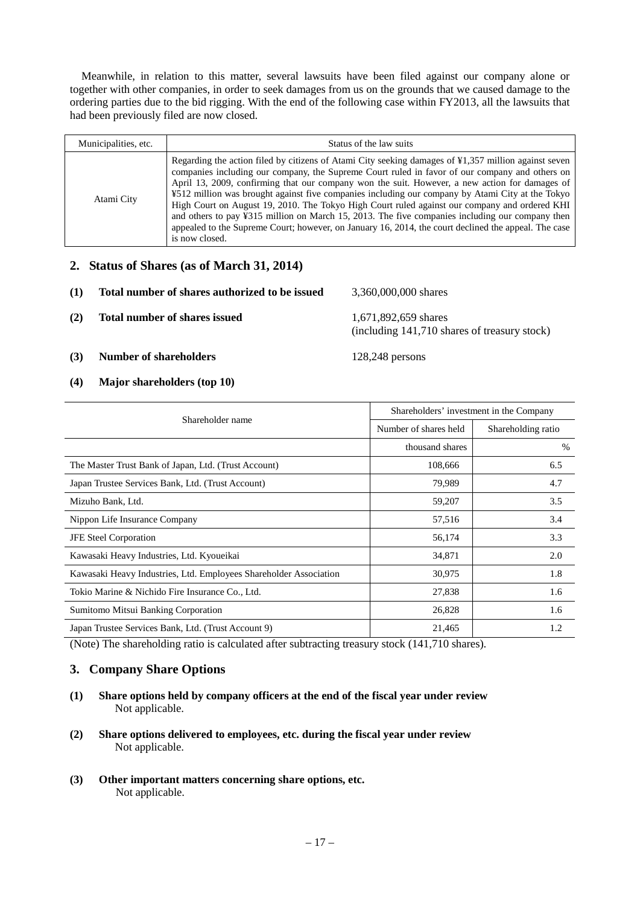Meanwhile, in relation to this matter, several lawsuits have been filed against our company alone or together with other companies, in order to seek damages from us on the grounds that we caused damage to the ordering parties due to the bid rigging. With the end of the following case within FY2013, all the lawsuits that had been previously filed are now closed.

| Municipalities, etc. | Status of the law suits                                                                                                                                                                                                                                                                                                                                                                                                                                                                                                                                                                                                                                                                                                                                 |
|----------------------|---------------------------------------------------------------------------------------------------------------------------------------------------------------------------------------------------------------------------------------------------------------------------------------------------------------------------------------------------------------------------------------------------------------------------------------------------------------------------------------------------------------------------------------------------------------------------------------------------------------------------------------------------------------------------------------------------------------------------------------------------------|
| Atami City           | Regarding the action filed by citizens of Atami City seeking damages of $\frac{1}{2}$ , 357 million against seven<br>companies including our company, the Supreme Court ruled in favor of our company and others on<br>April 13, 2009, confirming that our company won the suit. However, a new action for damages of<br>¥512 million was brought against five companies including our company by Atami City at the Tokyo<br>High Court on August 19, 2010. The Tokyo High Court ruled against our company and ordered KHI<br>and others to pay ¥315 million on March 15, 2013. The five companies including our company then<br>appealed to the Supreme Court; however, on January 16, 2014, the court declined the appeal. The case<br>is now closed. |

## **2. Status of Shares (as of March 31, 2014)**

| (1) | Total number of shares authorized to be issued | 3,360,000,000 shares                                                 |
|-----|------------------------------------------------|----------------------------------------------------------------------|
| (2) | Total number of shares issued                  | 1,671,892,659 shares<br>(including 141,710 shares of treasury stock) |
| (3) | <b>Number of shareholders</b>                  | $128,248$ persons                                                    |

## **(4) Major shareholders (top 10)**

| Shareholder name                                                  | Shareholders' investment in the Company |                    |  |
|-------------------------------------------------------------------|-----------------------------------------|--------------------|--|
|                                                                   | Number of shares held                   | Shareholding ratio |  |
|                                                                   | thousand shares                         | $\%$               |  |
| The Master Trust Bank of Japan, Ltd. (Trust Account)              | 108,666                                 | 6.5                |  |
| Japan Trustee Services Bank, Ltd. (Trust Account)                 | 79,989                                  | 4.7                |  |
| Mizuho Bank, Ltd.                                                 | 59,207                                  | 3.5                |  |
| Nippon Life Insurance Company                                     | 57,516                                  | 3.4                |  |
| <b>JFE</b> Steel Corporation                                      | 56,174                                  | 3.3                |  |
| Kawasaki Heavy Industries, Ltd. Kyoueikai                         | 34,871                                  | 2.0                |  |
| Kawasaki Heavy Industries, Ltd. Employees Shareholder Association | 30,975                                  | 1.8                |  |
| Tokio Marine & Nichido Fire Insurance Co., Ltd.                   | 27,838                                  | 1.6                |  |
| Sumitomo Mitsui Banking Corporation                               | 26,828                                  | 1.6                |  |
| Japan Trustee Services Bank, Ltd. (Trust Account 9)               | 21,465                                  | 1.2                |  |

(Note) The shareholding ratio is calculated after subtracting treasury stock (141,710 shares).

## **3. Company Share Options**

- **(1) Share options held by company officers at the end of the fiscal year under review** Not applicable.
- **(2) Share options delivered to employees, etc. during the fiscal year under review** Not applicable.
- **(3) Other important matters concerning share options, etc.** Not applicable.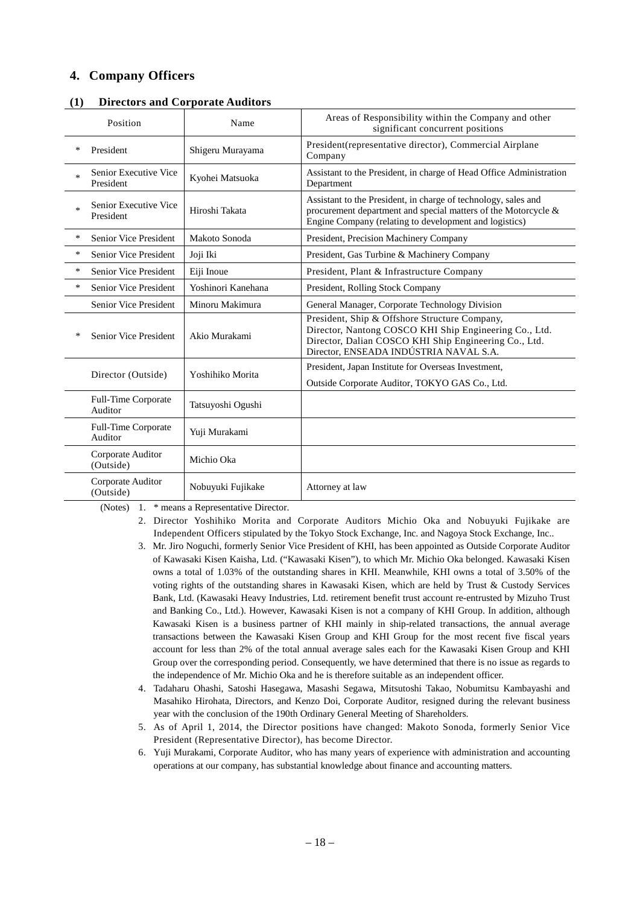## **4. Company Officers**

|        | Position                              | Name               | Areas of Responsibility within the Company and other<br>significant concurrent positions                                                                                                                   |
|--------|---------------------------------------|--------------------|------------------------------------------------------------------------------------------------------------------------------------------------------------------------------------------------------------|
| *      | President                             | Shigeru Murayama   | President (representative director), Commercial Airplane<br>Company                                                                                                                                        |
| $\ast$ | Senior Executive Vice<br>President    | Kyohei Matsuoka    | Assistant to the President, in charge of Head Office Administration<br>Department                                                                                                                          |
| $\ast$ | Senior Executive Vice<br>President    | Hiroshi Takata     | Assistant to the President, in charge of technology, sales and<br>procurement department and special matters of the Motorcycle &<br>Engine Company (relating to development and logistics)                 |
| *      | Senior Vice President                 | Makoto Sonoda      | President, Precision Machinery Company                                                                                                                                                                     |
| $\ast$ | <b>Senior Vice President</b>          | Joji Iki           | President, Gas Turbine & Machinery Company                                                                                                                                                                 |
| *      | <b>Senior Vice President</b>          | Eiji Inoue         | President, Plant & Infrastructure Company                                                                                                                                                                  |
| *      | Senior Vice President                 | Yoshinori Kanehana | President, Rolling Stock Company                                                                                                                                                                           |
|        | Senior Vice President                 | Minoru Makimura    | General Manager, Corporate Technology Division                                                                                                                                                             |
| *      | Senior Vice President                 | Akio Murakami      | President, Ship & Offshore Structure Company,<br>Director, Nantong COSCO KHI Ship Engineering Co., Ltd.<br>Director, Dalian COSCO KHI Ship Engineering Co., Ltd.<br>Director, ENSEADA INDÚSTRIA NAVAL S.A. |
|        | Director (Outside)                    | Yoshihiko Morita   | President, Japan Institute for Overseas Investment,<br>Outside Corporate Auditor, TOKYO GAS Co., Ltd.                                                                                                      |
|        | Full-Time Corporate<br>Auditor        | Tatsuyoshi Ogushi  |                                                                                                                                                                                                            |
|        | <b>Full-Time Corporate</b><br>Auditor | Yuji Murakami      |                                                                                                                                                                                                            |
|        | Corporate Auditor<br>(Outside)        | Michio Oka         |                                                                                                                                                                                                            |
|        | Corporate Auditor<br>(Outside)        | Nobuyuki Fujikake  | Attorney at law                                                                                                                                                                                            |

#### **(1) Directors and Corporate Auditors**

(Notes) 1. \* means a Representative Director.

- 2. Director Yoshihiko Morita and Corporate Auditors Michio Oka and Nobuyuki Fujikake are Independent Officers stipulated by the Tokyo Stock Exchange, Inc. and Nagoya Stock Exchange, Inc..
- 3. Mr. Jiro Noguchi, formerly Senior Vice President of KHI, has been appointed as Outside Corporate Auditor of Kawasaki Kisen Kaisha, Ltd. ("Kawasaki Kisen"), to which Mr. Michio Oka belonged. Kawasaki Kisen owns a total of 1.03% of the outstanding shares in KHI. Meanwhile, KHI owns a total of 3.50% of the voting rights of the outstanding shares in Kawasaki Kisen, which are held by Trust & Custody Services Bank, Ltd. (Kawasaki Heavy Industries, Ltd. retirement benefit trust account re-entrusted by Mizuho Trust and Banking Co., Ltd.). However, Kawasaki Kisen is not a company of KHI Group. In addition, although Kawasaki Kisen is a business partner of KHI mainly in ship-related transactions, the annual average transactions between the Kawasaki Kisen Group and KHI Group for the most recent five fiscal years account for less than 2% of the total annual average sales each for the Kawasaki Kisen Group and KHI Group over the corresponding period. Consequently, we have determined that there is no issue as regards to the independence of Mr. Michio Oka and he is therefore suitable as an independent officer.
- 4. Tadaharu Ohashi, Satoshi Hasegawa, Masashi Segawa, Mitsutoshi Takao, Nobumitsu Kambayashi and Masahiko Hirohata, Directors, and Kenzo Doi, Corporate Auditor, resigned during the relevant business year with the conclusion of the 190th Ordinary General Meeting of Shareholders.
- 5. As of April 1, 2014, the Director positions have changed: Makoto Sonoda, formerly Senior Vice President (Representative Director), has become Director.
- 6. Yuji Murakami, Corporate Auditor, who has many years of experience with administration and accounting operations at our company, has substantial knowledge about finance and accounting matters.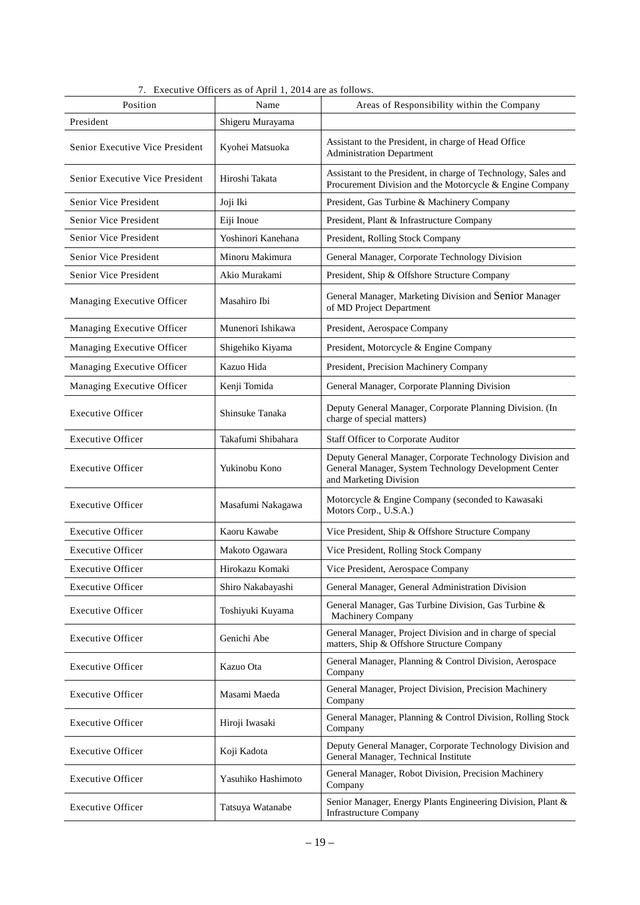| Position                        | Name               | Areas of Responsibility within the Company                                                                                                   |
|---------------------------------|--------------------|----------------------------------------------------------------------------------------------------------------------------------------------|
| President                       | Shigeru Murayama   |                                                                                                                                              |
| Senior Executive Vice President | Kyohei Matsuoka    | Assistant to the President, in charge of Head Office<br><b>Administration Department</b>                                                     |
| Senior Executive Vice President | Hiroshi Takata     | Assistant to the President, in charge of Technology, Sales and<br>Procurement Division and the Motorcycle & Engine Company                   |
| Senior Vice President           | Joji Iki           | President, Gas Turbine & Machinery Company                                                                                                   |
| Senior Vice President           | Eiji Inoue         | President, Plant & Infrastructure Company                                                                                                    |
| Senior Vice President           | Yoshinori Kanehana | President, Rolling Stock Company                                                                                                             |
| Senior Vice President           | Minoru Makimura    | General Manager, Corporate Technology Division                                                                                               |
| Senior Vice President           | Akio Murakami      | President, Ship & Offshore Structure Company                                                                                                 |
| Managing Executive Officer      | Masahiro Ibi       | General Manager, Marketing Division and Senior Manager<br>of MD Project Department                                                           |
| Managing Executive Officer      | Munenori Ishikawa  | President, Aerospace Company                                                                                                                 |
| Managing Executive Officer      | Shigehiko Kiyama   | President, Motorcycle & Engine Company                                                                                                       |
| Managing Executive Officer      | Kazuo Hida         | President, Precision Machinery Company                                                                                                       |
| Managing Executive Officer      | Kenji Tomida       | General Manager, Corporate Planning Division                                                                                                 |
| <b>Executive Officer</b>        | Shinsuke Tanaka    | Deputy General Manager, Corporate Planning Division. (In<br>charge of special matters)                                                       |
| <b>Executive Officer</b>        | Takafumi Shibahara | Staff Officer to Corporate Auditor                                                                                                           |
| <b>Executive Officer</b>        | Yukinobu Kono      | Deputy General Manager, Corporate Technology Division and<br>General Manager, System Technology Development Center<br>and Marketing Division |
| <b>Executive Officer</b>        | Masafumi Nakagawa  | Motorcycle & Engine Company (seconded to Kawasaki<br>Motors Corp., U.S.A.)                                                                   |
| <b>Executive Officer</b>        | Kaoru Kawabe       | Vice President, Ship & Offshore Structure Company                                                                                            |
| <b>Executive Officer</b>        | Makoto Ogawara     | Vice President, Rolling Stock Company                                                                                                        |
| <b>Executive Officer</b>        | Hirokazu Komaki    | Vice President, Aerospace Company                                                                                                            |
| <b>Executive Officer</b>        | Shiro Nakabayashi  | General Manager, General Administration Division                                                                                             |
| <b>Executive Officer</b>        | Toshiyuki Kuyama   | General Manager, Gas Turbine Division, Gas Turbine &<br>Machinery Company                                                                    |
| <b>Executive Officer</b>        | Genichi Abe        | General Manager, Project Division and in charge of special<br>matters, Ship & Offshore Structure Company                                     |
| <b>Executive Officer</b>        | Kazuo Ota          | General Manager, Planning & Control Division, Aerospace<br>Company                                                                           |
| <b>Executive Officer</b>        | Masami Maeda       | General Manager, Project Division, Precision Machinery<br>Company                                                                            |
| <b>Executive Officer</b>        | Hiroji Iwasaki     | General Manager, Planning & Control Division, Rolling Stock<br>Company                                                                       |
| <b>Executive Officer</b>        | Koji Kadota        | Deputy General Manager, Corporate Technology Division and<br>General Manager, Technical Institute                                            |
| <b>Executive Officer</b>        | Yasuhiko Hashimoto | General Manager, Robot Division, Precision Machinery<br>Company                                                                              |
| <b>Executive Officer</b>        | Tatsuya Watanabe   | Senior Manager, Energy Plants Engineering Division, Plant &<br><b>Infrastructure Company</b>                                                 |

7. Executive Officers as of April 1, 2014 are as follows.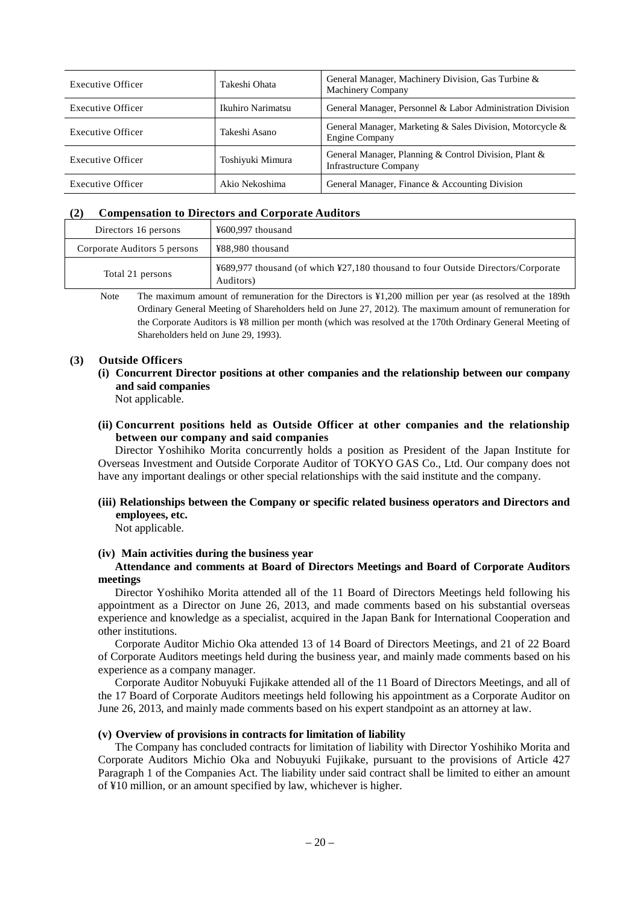| Executive Officer | Takeshi Ohata     | General Manager, Machinery Division, Gas Turbine &<br><b>Machinery Company</b>         |
|-------------------|-------------------|----------------------------------------------------------------------------------------|
| Executive Officer | Ikuhiro Narimatsu | General Manager, Personnel & Labor Administration Division                             |
| Executive Officer | Takeshi Asano     | General Manager, Marketing & Sales Division, Motorcycle &<br>Engine Company            |
| Executive Officer | Toshiyuki Mimura  | General Manager, Planning & Control Division, Plant &<br><b>Infrastructure Company</b> |
| Executive Officer | Akio Nekoshima    | General Manager, Finance & Accounting Division                                         |

#### **(2) Compensation to Directors and Corporate Auditors**

| Directors 16 persons         | ¥600,997 thousand                                                                             |
|------------------------------|-----------------------------------------------------------------------------------------------|
| Corporate Auditors 5 persons | ¥88,980 thousand                                                                              |
| Total 21 persons             | ¥689,977 thousand (of which ¥27,180 thousand to four Outside Directors/Corporate<br>Auditors) |

Note The maximum amount of remuneration for the Directors is ¥1,200 million per year (as resolved at the 189th Ordinary General Meeting of Shareholders held on June 27, 2012). The maximum amount of remuneration for the Corporate Auditors is ¥8 million per month (which was resolved at the 170th Ordinary General Meeting of Shareholders held on June 29, 1993).

#### **(3) Outside Officers**

**(i) Concurrent Director positions at other companies and the relationship between our company and said companies**

Not applicable.

**(ii) Concurrent positions held as Outside Officer at other companies and the relationship between our company and said companies**

Director Yoshihiko Morita concurrently holds a position as President of the Japan Institute for Overseas Investment and Outside Corporate Auditor of TOKYO GAS Co., Ltd. Our company does not have any important dealings or other special relationships with the said institute and the company.

**(iii) Relationships between the Company or specific related business operators and Directors and employees, etc.**

Not applicable.

#### **(iv) Main activities during the business year**

#### **Attendance and comments at Board of Directors Meetings and Board of Corporate Auditors meetings**

Director Yoshihiko Morita attended all of the 11 Board of Directors Meetings held following his appointment as a Director on June 26, 2013, and made comments based on his substantial overseas experience and knowledge as a specialist, acquired in the Japan Bank for International Cooperation and other institutions.

Corporate Auditor Michio Oka attended 13 of 14 Board of Directors Meetings, and 21 of 22 Board of Corporate Auditors meetings held during the business year, and mainly made comments based on his experience as a company manager.

Corporate Auditor Nobuyuki Fujikake attended all of the 11 Board of Directors Meetings, and all of the 17 Board of Corporate Auditors meetings held following his appointment as a Corporate Auditor on June 26, 2013, and mainly made comments based on his expert standpoint as an attorney at law.

#### **(v) Overview of provisions in contracts for limitation of liability**

The Company has concluded contracts for limitation of liability with Director Yoshihiko Morita and Corporate Auditors Michio Oka and Nobuyuki Fujikake, pursuant to the provisions of Article 427 Paragraph 1 of the Companies Act. The liability under said contract shall be limited to either an amount of ¥10 million, or an amount specified by law, whichever is higher.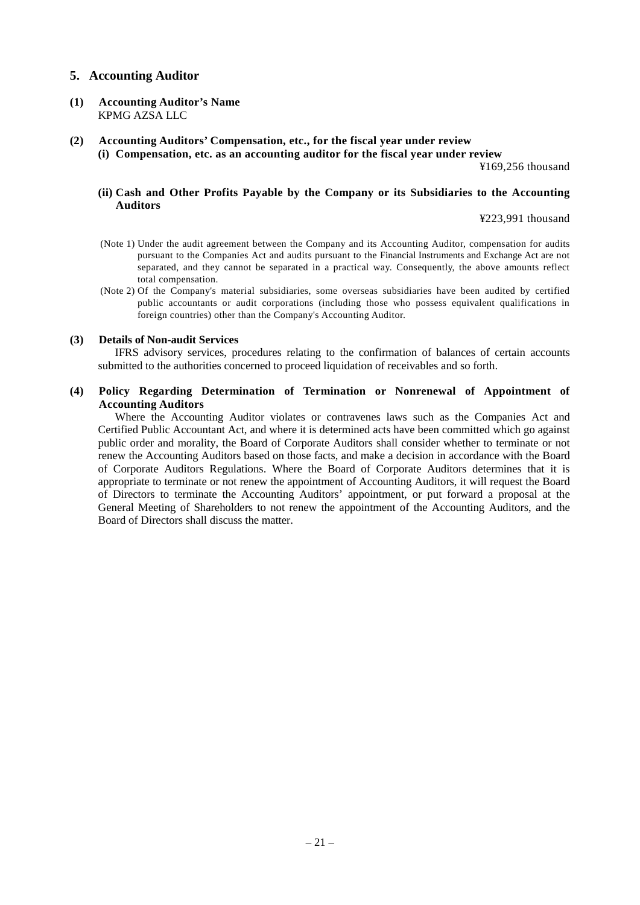## **5. Accounting Auditor**

- **(1) Accounting Auditor's Name** KPMG AZSA LLC
- **(2) Accounting Auditors' Compensation, etc., for the fiscal year under review**
	- **(i) Compensation, etc. as an accounting auditor for the fiscal year under review**

¥169,256 thousand

#### **(ii) Cash and Other Profits Payable by the Company or its Subsidiaries to the Accounting Auditors**

¥223,991 thousand

- (Note 1) Under the audit agreement between the Company and its Accounting Auditor, compensation for audits pursuant to the Companies Act and audits pursuant to the Financial Instruments and Exchange Act are not separated, and they cannot be separated in a practical way. Consequently, the above amounts reflect total compensation.
- (Note 2) Of the Company's material subsidiaries, some overseas subsidiaries have been audited by certified public accountants or audit corporations (including those who possess equivalent qualifications in foreign countries) other than the Company's Accounting Auditor.

#### **(3) Details of Non-audit Services**

IFRS advisory services, procedures relating to the confirmation of balances of certain accounts submitted to the authorities concerned to proceed liquidation of receivables and so forth.

### **(4) Policy Regarding Determination of Termination or Nonrenewal of Appointment of Accounting Auditors**

Where the Accounting Auditor violates or contravenes laws such as the Companies Act and Certified Public Accountant Act, and where it is determined acts have been committed which go against public order and morality, the Board of Corporate Auditors shall consider whether to terminate or not renew the Accounting Auditors based on those facts, and make a decision in accordance with the Board of Corporate Auditors Regulations. Where the Board of Corporate Auditors determines that it is appropriate to terminate or not renew the appointment of Accounting Auditors, it will request the Board of Directors to terminate the Accounting Auditors' appointment, or put forward a proposal at the General Meeting of Shareholders to not renew the appointment of the Accounting Auditors, and the Board of Directors shall discuss the matter.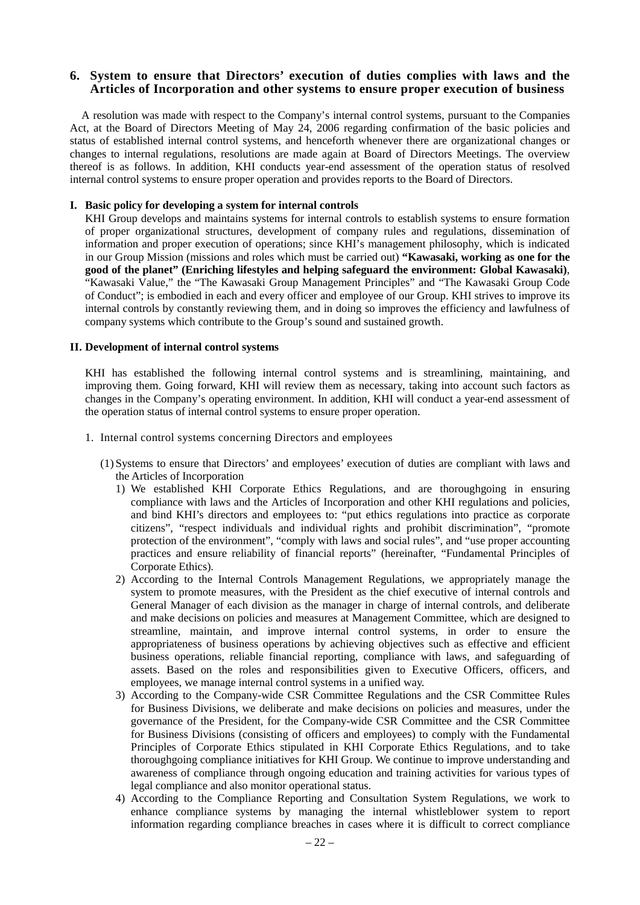### **6. System to ensure that Directors' execution of duties complies with laws and the Articles of Incorporation and other systems to ensure proper execution of business**

A resolution was made with respect to the Company's internal control systems, pursuant to the Companies Act, at the Board of Directors Meeting of May 24, 2006 regarding confirmation of the basic policies and status of established internal control systems, and henceforth whenever there are organizational changes or changes to internal regulations, resolutions are made again at Board of Directors Meetings. The overview thereof is as follows. In addition, KHI conducts year-end assessment of the operation status of resolved internal control systems to ensure proper operation and provides reports to the Board of Directors.

#### **I. Basic policy for developing a system for internal controls**

KHI Group develops and maintains systems for internal controls to establish systems to ensure formation of proper organizational structures, development of company rules and regulations, dissemination of information and proper execution of operations; since KHI's management philosophy, which is indicated in our Group Mission (missions and roles which must be carried out) **"Kawasaki, working as one for the good of the planet" (Enriching lifestyles and helping safeguard the environment: Global Kawasaki)**, "Kawasaki Value," the "The Kawasaki Group Management Principles" and "The Kawasaki Group Code of Conduct"; is embodied in each and every officer and employee of our Group. KHI strives to improve its internal controls by constantly reviewing them, and in doing so improves the efficiency and lawfulness of company systems which contribute to the Group's sound and sustained growth.

#### **II. Development of internal control systems**

KHI has established the following internal control systems and is streamlining, maintaining, and improving them. Going forward, KHI will review them as necessary, taking into account such factors as changes in the Company's operating environment. In addition, KHI will conduct a year-end assessment of the operation status of internal control systems to ensure proper operation.

- 1. Internal control systems concerning Directors and employees
	- (1) Systems to ensure that Directors' and employees' execution of duties are compliant with laws and the Articles of Incorporation
		- 1) We established KHI Corporate Ethics Regulations, and are thoroughgoing in ensuring compliance with laws and the Articles of Incorporation and other KHI regulations and policies, and bind KHI's directors and employees to: "put ethics regulations into practice as corporate citizens", "respect individuals and individual rights and prohibit discrimination", "promote protection of the environment", "comply with laws and social rules", and "use proper accounting practices and ensure reliability of financial reports" (hereinafter, "Fundamental Principles of Corporate Ethics).
		- 2) According to the Internal Controls Management Regulations, we appropriately manage the system to promote measures, with the President as the chief executive of internal controls and General Manager of each division as the manager in charge of internal controls, and deliberate and make decisions on policies and measures at Management Committee, which are designed to streamline, maintain, and improve internal control systems, in order to ensure the appropriateness of business operations by achieving objectives such as effective and efficient business operations, reliable financial reporting, compliance with laws, and safeguarding of assets. Based on the roles and responsibilities given to Executive Officers, officers, and employees, we manage internal control systems in a unified way.
		- 3) According to the Company-wide CSR Committee Regulations and the CSR Committee Rules for Business Divisions, we deliberate and make decisions on policies and measures, under the governance of the President, for the Company-wide CSR Committee and the CSR Committee for Business Divisions (consisting of officers and employees) to comply with the Fundamental Principles of Corporate Ethics stipulated in KHI Corporate Ethics Regulations, and to take thoroughgoing compliance initiatives for KHI Group. We continue to improve understanding and awareness of compliance through ongoing education and training activities for various types of legal compliance and also monitor operational status.
		- 4) According to the Compliance Reporting and Consultation System Regulations, we work to enhance compliance systems by managing the internal whistleblower system to report information regarding compliance breaches in cases where it is difficult to correct compliance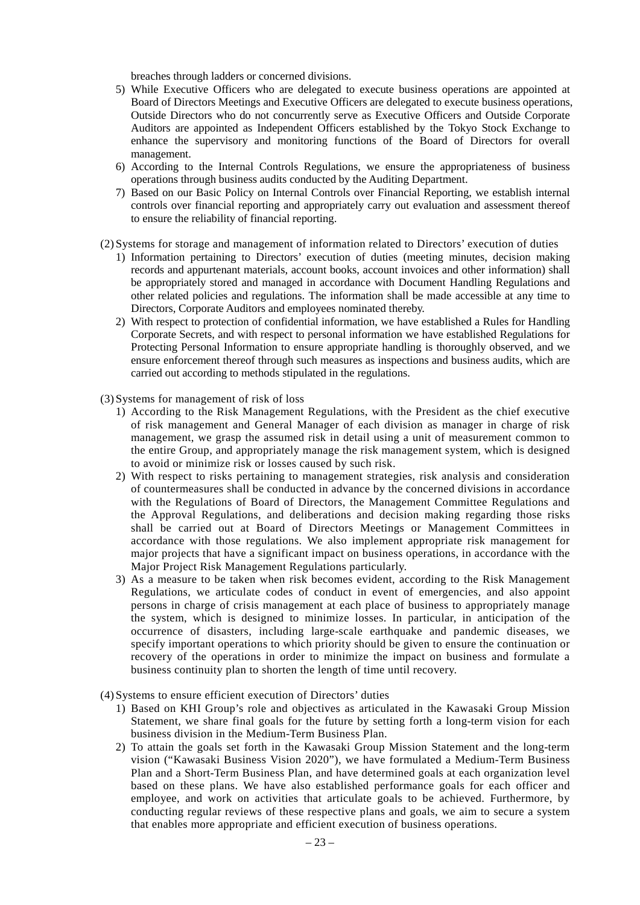breaches through ladders or concerned divisions.

- 5) While Executive Officers who are delegated to execute business operations are appointed at Board of Directors Meetings and Executive Officers are delegated to execute business operations, Outside Directors who do not concurrently serve as Executive Officers and Outside Corporate Auditors are appointed as Independent Officers established by the Tokyo Stock Exchange to enhance the supervisory and monitoring functions of the Board of Directors for overall management.
- 6) According to the Internal Controls Regulations, we ensure the appropriateness of business operations through business audits conducted by the Auditing Department.
- 7) Based on our Basic Policy on Internal Controls over Financial Reporting, we establish internal controls over financial reporting and appropriately carry out evaluation and assessment thereof to ensure the reliability of financial reporting.
- (2) Systems for storage and management of information related to Directors' execution of duties
	- 1) Information pertaining to Directors' execution of duties (meeting minutes, decision making records and appurtenant materials, account books, account invoices and other information) shall be appropriately stored and managed in accordance with Document Handling Regulations and other related policies and regulations. The information shall be made accessible at any time to Directors, Corporate Auditors and employees nominated thereby.
	- 2) With respect to protection of confidential information, we have established a Rules for Handling Corporate Secrets, and with respect to personal information we have established Regulations for Protecting Personal Information to ensure appropriate handling is thoroughly observed, and we ensure enforcement thereof through such measures as inspections and business audits, which are carried out according to methods stipulated in the regulations.
- (3) Systems for management of risk of loss
	- 1) According to the Risk Management Regulations, with the President as the chief executive of risk management and General Manager of each division as manager in charge of risk management, we grasp the assumed risk in detail using a unit of measurement common to the entire Group, and appropriately manage the risk management system, which is designed to avoid or minimize risk or losses caused by such risk.
	- 2) With respect to risks pertaining to management strategies, risk analysis and consideration of countermeasures shall be conducted in advance by the concerned divisions in accordance with the Regulations of Board of Directors, the Management Committee Regulations and the Approval Regulations, and deliberations and decision making regarding those risks shall be carried out at Board of Directors Meetings or Management Committees in accordance with those regulations. We also implement appropriate risk management for major projects that have a significant impact on business operations, in accordance with the Major Project Risk Management Regulations particularly.
	- 3) As a measure to be taken when risk becomes evident, according to the Risk Management Regulations, we articulate codes of conduct in event of emergencies, and also appoint persons in charge of crisis management at each place of business to appropriately manage the system, which is designed to minimize losses. In particular, in anticipation of the occurrence of disasters, including large-scale earthquake and pandemic diseases, we specify important operations to which priority should be given to ensure the continuation or recovery of the operations in order to minimize the impact on business and formulate a business continuity plan to shorten the length of time until recovery.
- (4) Systems to ensure efficient execution of Directors' duties
	- 1) Based on KHI Group's role and objectives as articulated in the Kawasaki Group Mission Statement, we share final goals for the future by setting forth a long-term vision for each business division in the Medium-Term Business Plan.
	- 2) To attain the goals set forth in the Kawasaki Group Mission Statement and the long-term vision ("Kawasaki Business Vision 2020"), we have formulated a Medium-Term Business Plan and a Short-Term Business Plan, and have determined goals at each organization level based on these plans. We have also established performance goals for each officer and employee, and work on activities that articulate goals to be achieved. Furthermore, by conducting regular reviews of these respective plans and goals, we aim to secure a system that enables more appropriate and efficient execution of business operations.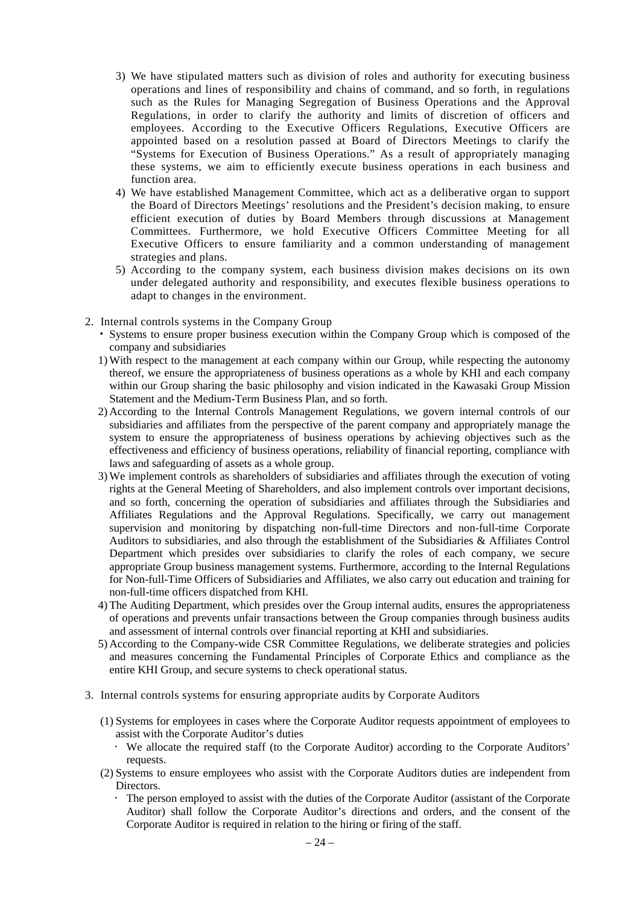- 3) We have stipulated matters such as division of roles and authority for executing business operations and lines of responsibility and chains of command, and so forth, in regulations such as the Rules for Managing Segregation of Business Operations and the Approval Regulations, in order to clarify the authority and limits of discretion of officers and employees. According to the Executive Officers Regulations, Executive Officers are appointed based on a resolution passed at Board of Directors Meetings to clarify the "Systems for Execution of Business Operations." As a result of appropriately managing these systems, we aim to efficiently execute business operations in each business and function area.
- 4) We have established Management Committee, which act as a deliberative organ to support the Board of Directors Meetings' resolutions and the President's decision making, to ensure efficient execution of duties by Board Members through discussions at Management Committees. Furthermore, we hold Executive Officers Committee Meeting for all Executive Officers to ensure familiarity and a common understanding of management strategies and plans.
- 5) According to the company system, each business division makes decisions on its own under delegated authority and responsibility, and executes flexible business operations to adapt to changes in the environment.
- 2. Internal controls systems in the Company Group
	- Systems to ensure proper business execution within the Company Group which is composed of the company and subsidiaries
	- 1)With respect to the management at each company within our Group, while respecting the autonomy thereof, we ensure the appropriateness of business operations as a whole by KHI and each company within our Group sharing the basic philosophy and vision indicated in the Kawasaki Group Mission Statement and the Medium-Term Business Plan, and so forth.
	- 2) According to the Internal Controls Management Regulations, we govern internal controls of our subsidiaries and affiliates from the perspective of the parent company and appropriately manage the system to ensure the appropriateness of business operations by achieving objectives such as the effectiveness and efficiency of business operations, reliability of financial reporting, compliance with laws and safeguarding of assets as a whole group.
	- 3)We implement controls as shareholders of subsidiaries and affiliates through the execution of voting rights at the General Meeting of Shareholders, and also implement controls over important decisions, and so forth, concerning the operation of subsidiaries and affiliates through the Subsidiaries and Affiliates Regulations and the Approval Regulations. Specifically, we carry out management supervision and monitoring by dispatching non-full-time Directors and non-full-time Corporate Auditors to subsidiaries, and also through the establishment of the Subsidiaries & Affiliates Control Department which presides over subsidiaries to clarify the roles of each company, we secure appropriate Group business management systems. Furthermore, according to the Internal Regulations for Non-full-Time Officers of Subsidiaries and Affiliates, we also carry out education and training for non-full-time officers dispatched from KHI.
	- 4) The Auditing Department, which presides over the Group internal audits, ensures the appropriateness of operations and prevents unfair transactions between the Group companies through business audits and assessment of internal controls over financial reporting at KHI and subsidiaries.
	- 5) According to the Company-wide CSR Committee Regulations, we deliberate strategies and policies and measures concerning the Fundamental Principles of Corporate Ethics and compliance as the entire KHI Group, and secure systems to check operational status.
- 3. Internal controls systems for ensuring appropriate audits by Corporate Auditors
	- (1) Systems for employees in cases where the Corporate Auditor requests appointment of employees to assist with the Corporate Auditor's duties
		- We allocate the required staff (to the Corporate Auditor) according to the Corporate Auditors' requests.
	- (2) Systems to ensure employees who assist with the Corporate Auditors duties are independent from Directors.
		- The person employed to assist with the duties of the Corporate Auditor (assistant of the Corporate Auditor) shall follow the Corporate Auditor's directions and orders, and the consent of the Corporate Auditor is required in relation to the hiring or firing of the staff.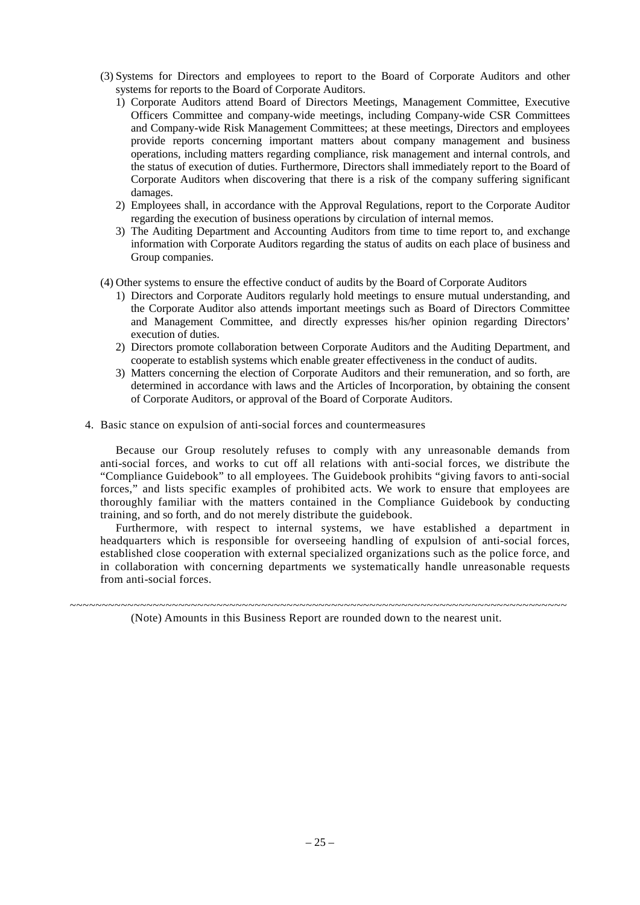- (3) Systems for Directors and employees to report to the Board of Corporate Auditors and other systems for reports to the Board of Corporate Auditors.
	- 1) Corporate Auditors attend Board of Directors Meetings, Management Committee, Executive Officers Committee and company-wide meetings, including Company-wide CSR Committees and Company-wide Risk Management Committees; at these meetings, Directors and employees provide reports concerning important matters about company management and business operations, including matters regarding compliance, risk management and internal controls, and the status of execution of duties. Furthermore, Directors shall immediately report to the Board of Corporate Auditors when discovering that there is a risk of the company suffering significant damages.
	- 2) Employees shall, in accordance with the Approval Regulations, report to the Corporate Auditor regarding the execution of business operations by circulation of internal memos.
	- 3) The Auditing Department and Accounting Auditors from time to time report to, and exchange information with Corporate Auditors regarding the status of audits on each place of business and Group companies.
- (4) Other systems to ensure the effective conduct of audits by the Board of Corporate Auditors
	- 1) Directors and Corporate Auditors regularly hold meetings to ensure mutual understanding, and the Corporate Auditor also attends important meetings such as Board of Directors Committee and Management Committee, and directly expresses his/her opinion regarding Directors' execution of duties.
	- 2) Directors promote collaboration between Corporate Auditors and the Auditing Department, and cooperate to establish systems which enable greater effectiveness in the conduct of audits.
	- 3) Matters concerning the election of Corporate Auditors and their remuneration, and so forth, are determined in accordance with laws and the Articles of Incorporation, by obtaining the consent of Corporate Auditors, or approval of the Board of Corporate Auditors.
- 4. Basic stance on expulsion of anti-social forces and countermeasures

Because our Group resolutely refuses to comply with any unreasonable demands from anti-social forces, and works to cut off all relations with anti-social forces, we distribute the "Compliance Guidebook" to all employees. The Guidebook prohibits "giving favors to anti-social forces," and lists specific examples of prohibited acts. We work to ensure that employees are thoroughly familiar with the matters contained in the Compliance Guidebook by conducting training, and so forth, and do not merely distribute the guidebook.

Furthermore, with respect to internal systems, we have established a department in headquarters which is responsible for overseeing handling of expulsion of anti-social forces, established close cooperation with external specialized organizations such as the police force, and in collaboration with concerning departments we systematically handle unreasonable requests from anti-social forces.

~~~~~~~~~~~~~~~~~~~~~~~~~~~~~~~~~~~~~~~~~~~~~~~~~~~~~~~~~~~~~~~~~~~~~~~~~~~~~~ (Note) Amounts in this Business Report are rounded down to the nearest unit.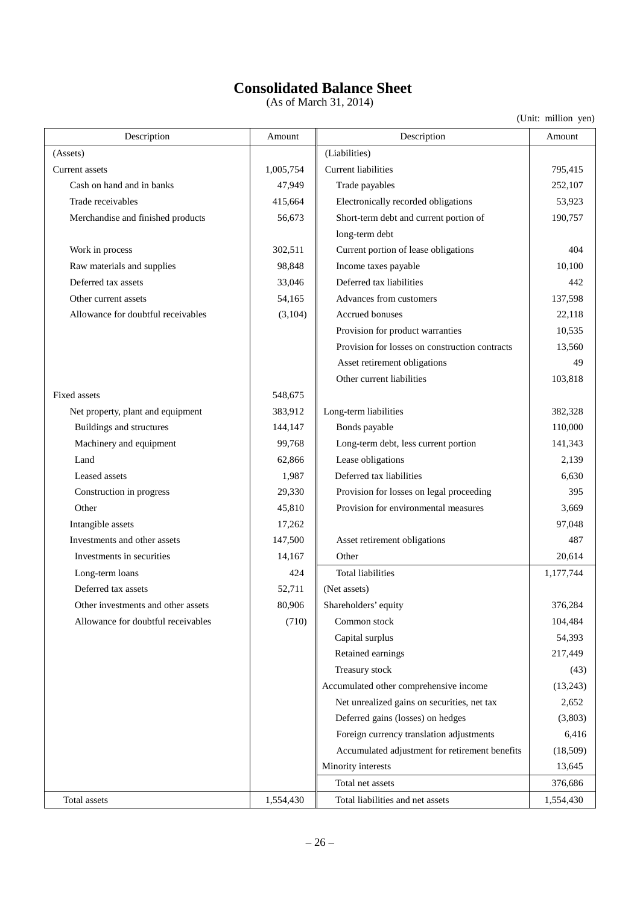# **Consolidated Balance Sheet**

(As of March 31, 2014)

| Description                        | Amount    | Description                                    | Amount    |  |  |  |
|------------------------------------|-----------|------------------------------------------------|-----------|--|--|--|
| (Assets)                           |           | (Liabilities)                                  |           |  |  |  |
| Current assets                     | 1,005,754 | Current liabilities                            | 795,415   |  |  |  |
| Cash on hand and in banks          | 47,949    | Trade payables                                 | 252,107   |  |  |  |
| Trade receivables                  | 415,664   | Electronically recorded obligations            | 53,923    |  |  |  |
| Merchandise and finished products  | 56,673    | Short-term debt and current portion of         | 190,757   |  |  |  |
|                                    |           | long-term debt                                 |           |  |  |  |
| Work in process                    | 302,511   | Current portion of lease obligations           | 404       |  |  |  |
| Raw materials and supplies         | 98,848    | Income taxes payable                           | 10,100    |  |  |  |
| Deferred tax assets                | 33,046    | Deferred tax liabilities<br>442                |           |  |  |  |
| Other current assets               | 54,165    | Advances from customers                        | 137,598   |  |  |  |
| Allowance for doubtful receivables | (3,104)   | Accrued bonuses                                | 22,118    |  |  |  |
|                                    |           | Provision for product warranties               | 10,535    |  |  |  |
|                                    |           | Provision for losses on construction contracts | 13,560    |  |  |  |
|                                    |           | Asset retirement obligations                   | 49        |  |  |  |
|                                    |           | Other current liabilities                      | 103,818   |  |  |  |
| Fixed assets                       | 548,675   |                                                |           |  |  |  |
| Net property, plant and equipment  | 383,912   | Long-term liabilities                          | 382,328   |  |  |  |
| Buildings and structures           | 144,147   | Bonds payable                                  | 110,000   |  |  |  |
| Machinery and equipment            | 99,768    | Long-term debt, less current portion           | 141,343   |  |  |  |
| Land                               | 62,866    | Lease obligations<br>2,139                     |           |  |  |  |
| Leased assets                      | 1,987     | Deferred tax liabilities<br>6,630              |           |  |  |  |
| Construction in progress           | 29,330    | Provision for losses on legal proceeding       | 395       |  |  |  |
| Other                              | 45,810    | Provision for environmental measures<br>3,669  |           |  |  |  |
| Intangible assets                  | 17,262    | 97,048                                         |           |  |  |  |
| Investments and other assets       | 147,500   | Asset retirement obligations                   |           |  |  |  |
| Investments in securities          | 14,167    | Other                                          | 20,614    |  |  |  |
| Long-term loans                    | 424       | <b>Total liabilities</b>                       | 1,177,744 |  |  |  |
| Deferred tax assets                | 52,711    | (Net assets)                                   |           |  |  |  |
| Other investments and other assets | 80,906    | Shareholders' equity                           | 376,284   |  |  |  |
| Allowance for doubtful receivables | (710)     | Common stock                                   | 104,484   |  |  |  |
|                                    |           | Capital surplus                                | 54,393    |  |  |  |
|                                    |           | Retained earnings                              | 217,449   |  |  |  |
|                                    |           | Treasury stock                                 | (43)      |  |  |  |
|                                    |           | Accumulated other comprehensive income         | (13,243)  |  |  |  |
|                                    |           | Net unrealized gains on securities, net tax    | 2,652     |  |  |  |
|                                    |           | Deferred gains (losses) on hedges              | (3,803)   |  |  |  |
|                                    |           | Foreign currency translation adjustments       | 6,416     |  |  |  |
|                                    |           | Accumulated adjustment for retirement benefits | (18,509)  |  |  |  |
|                                    |           | Minority interests                             | 13,645    |  |  |  |
|                                    |           | Total net assets                               | 376,686   |  |  |  |
| Total assets                       | 1,554,430 | Total liabilities and net assets               | 1,554,430 |  |  |  |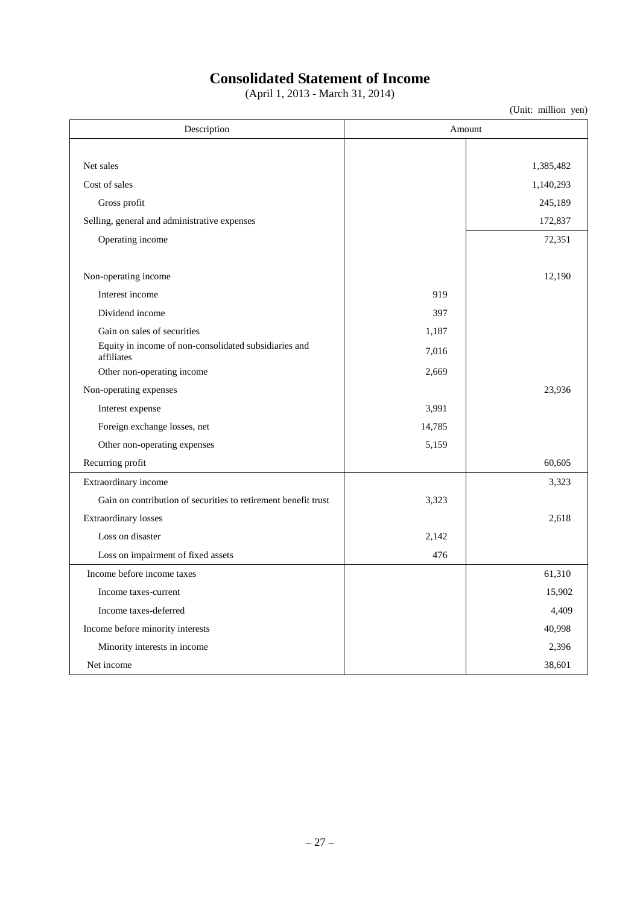## **Consolidated Statement of Income**

(April 1, 2013 - March 31, 2014)

| Description                                                         | Amount |           |
|---------------------------------------------------------------------|--------|-----------|
|                                                                     |        |           |
| Net sales                                                           |        | 1,385,482 |
| Cost of sales                                                       |        | 1,140,293 |
| Gross profit                                                        |        | 245,189   |
| Selling, general and administrative expenses                        |        | 172,837   |
| Operating income                                                    |        | 72,351    |
| Non-operating income                                                |        | 12,190    |
| Interest income                                                     | 919    |           |
| Dividend income                                                     | 397    |           |
| Gain on sales of securities                                         | 1,187  |           |
| Equity in income of non-consolidated subsidiaries and<br>affiliates | 7,016  |           |
| Other non-operating income                                          | 2,669  |           |
| Non-operating expenses                                              |        | 23,936    |
| Interest expense                                                    | 3,991  |           |
| Foreign exchange losses, net                                        | 14,785 |           |
| Other non-operating expenses                                        | 5,159  |           |
| Recurring profit                                                    |        | 60,605    |
| Extraordinary income                                                |        | 3,323     |
| Gain on contribution of securities to retirement benefit trust      | 3,323  |           |
| <b>Extraordinary losses</b>                                         |        | 2,618     |
| Loss on disaster                                                    | 2,142  |           |
| Loss on impairment of fixed assets                                  | 476    |           |
| Income before income taxes                                          |        | 61,310    |
| Income taxes-current                                                |        | 15,902    |
| Income taxes-deferred                                               |        | 4,409     |
| Income before minority interests                                    |        | 40,998    |
| Minority interests in income                                        |        | 2,396     |
| Net income                                                          |        | 38,601    |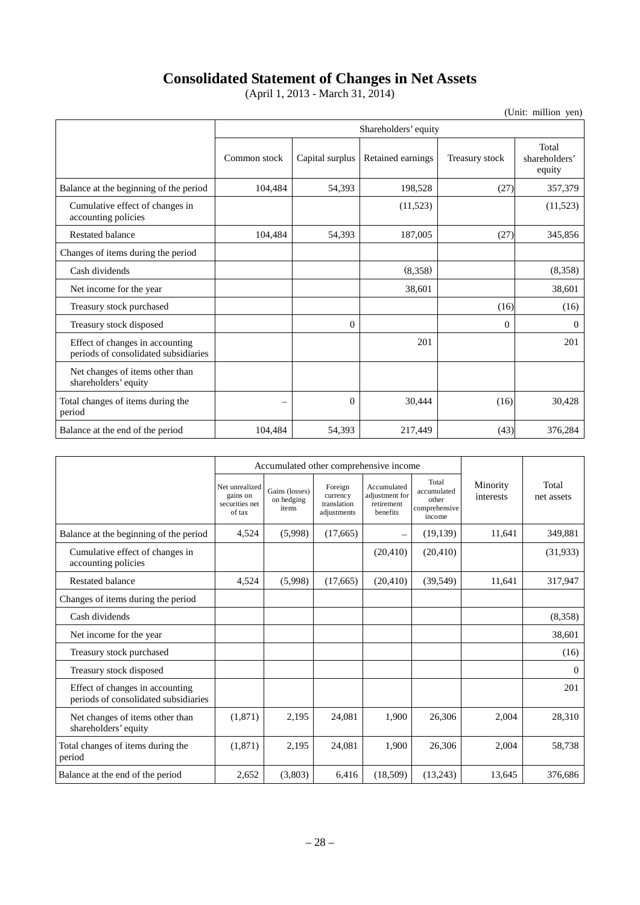## **Consolidated Statement of Changes in Net Assets**

(April 1, 2013 - March 31, 2014)

|                                                                         | Shareholders' equity     |                 |                   |                |                                  |  |  |  |
|-------------------------------------------------------------------------|--------------------------|-----------------|-------------------|----------------|----------------------------------|--|--|--|
|                                                                         | Common stock             | Capital surplus | Retained earnings | Treasury stock | Total<br>shareholders'<br>equity |  |  |  |
| Balance at the beginning of the period                                  | 104,484                  | 54,393          | 198,528           | (27)           | 357,379                          |  |  |  |
| Cumulative effect of changes in<br>accounting policies                  |                          |                 | (11,523)          |                | (11, 523)                        |  |  |  |
| <b>Restated balance</b>                                                 | 104,484                  | 54,393          | 187,005           | (27)           | 345,856                          |  |  |  |
| Changes of items during the period                                      |                          |                 |                   |                |                                  |  |  |  |
| Cash dividends                                                          |                          |                 | (8,358)           |                | (8,358)                          |  |  |  |
| Net income for the year                                                 |                          |                 | 38,601            |                | 38,601                           |  |  |  |
| Treasury stock purchased                                                |                          |                 |                   | (16)           | (16)                             |  |  |  |
| Treasury stock disposed                                                 |                          | $\Omega$        |                   | $\Omega$       | $\theta$                         |  |  |  |
| Effect of changes in accounting<br>periods of consolidated subsidiaries |                          |                 | 201               |                | 201                              |  |  |  |
| Net changes of items other than<br>shareholders' equity                 |                          |                 |                   |                |                                  |  |  |  |
| Total changes of items during the<br>period                             | $\overline{\phantom{0}}$ | $\Omega$        | 30,444            | (16)           | 30,428                           |  |  |  |
| Balance at the end of the period                                        | 104,484                  | 54,393          | 217,449           | (43)           | 376,284                          |  |  |  |

|                                                                         |                                                        | Accumulated other comprehensive income |                                                   |                                                         |                                                          |                       |                     |
|-------------------------------------------------------------------------|--------------------------------------------------------|----------------------------------------|---------------------------------------------------|---------------------------------------------------------|----------------------------------------------------------|-----------------------|---------------------|
|                                                                         | Net unrealized<br>gains on<br>securities net<br>of tax | Gains (losses)<br>on hedging<br>items  | Foreign<br>currency<br>translation<br>adjustments | Accumulated<br>adjustment for<br>retirement<br>benefits | Total<br>accumulated<br>other<br>comprehensive<br>income | Minority<br>interests | Total<br>net assets |
| Balance at the beginning of the period                                  | 4,524                                                  | (5,998)                                | (17,665)                                          |                                                         | (19, 139)                                                | 11,641                | 349,881             |
| Cumulative effect of changes in<br>accounting policies                  |                                                        |                                        |                                                   | (20, 410)                                               | (20, 410)                                                |                       | (31,933)            |
| <b>Restated balance</b>                                                 | 4,524                                                  | (5,998)                                | (17,665)                                          | (20, 410)                                               | (39, 549)                                                | 11,641                | 317,947             |
| Changes of items during the period                                      |                                                        |                                        |                                                   |                                                         |                                                          |                       |                     |
| Cash dividends                                                          |                                                        |                                        |                                                   |                                                         |                                                          |                       | (8,358)             |
| Net income for the year                                                 |                                                        |                                        |                                                   |                                                         |                                                          |                       | 38,601              |
| Treasury stock purchased                                                |                                                        |                                        |                                                   |                                                         |                                                          |                       | (16)                |
| Treasury stock disposed                                                 |                                                        |                                        |                                                   |                                                         |                                                          |                       | $\Omega$            |
| Effect of changes in accounting<br>periods of consolidated subsidiaries |                                                        |                                        |                                                   |                                                         |                                                          |                       | 201                 |
| Net changes of items other than<br>shareholders' equity                 | (1, 871)                                               | 2,195                                  | 24.081                                            | 1.900                                                   | 26.306                                                   | 2,004                 | 28,310              |
| Total changes of items during the<br>period                             | (1,871)                                                | 2,195                                  | 24,081                                            | 1,900                                                   | 26,306                                                   | 2,004                 | 58,738              |
| Balance at the end of the period                                        | 2,652                                                  | (3,803)                                | 6,416                                             | (18,509)                                                | (13,243)                                                 | 13,645                | 376,686             |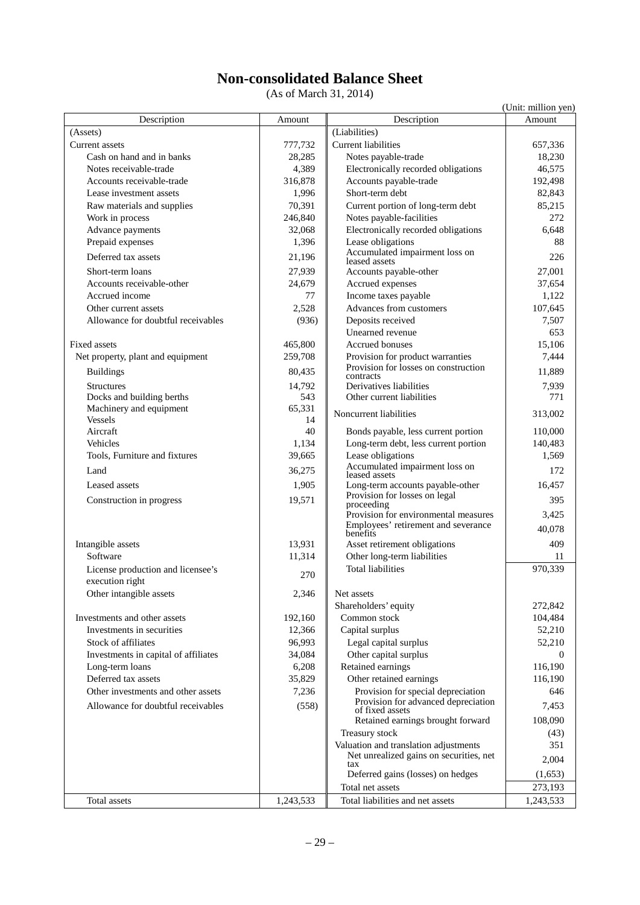# **Non-consolidated Balance Sheet**

(As of March 31, 2014)

|                                                      |              |                                                                          | (Unit: million yen) |
|------------------------------------------------------|--------------|--------------------------------------------------------------------------|---------------------|
| Description                                          | Amount       | Description                                                              | Amount              |
| (Assets)                                             |              | (Liabilities)                                                            |                     |
| <b>Current assets</b>                                | 777,732      | Current liabilities                                                      | 657,336             |
| Cash on hand and in banks                            | 28,285       | Notes payable-trade                                                      | 18,230              |
| Notes receivable-trade                               | 4,389        | Electronically recorded obligations                                      | 46,575              |
| Accounts receivable-trade                            | 316,878      | Accounts payable-trade                                                   | 192,498             |
| Lease investment assets                              | 1,996        | Short-term debt                                                          | 82,843              |
| Raw materials and supplies                           | 70,391       | Current portion of long-term debt                                        | 85,215              |
| Work in process                                      | 246,840      | Notes payable-facilities                                                 | 272                 |
| Advance payments                                     | 32,068       | Electronically recorded obligations                                      | 6,648               |
| Prepaid expenses                                     | 1,396        | Lease obligations                                                        | 88                  |
| Deferred tax assets                                  | 21,196       | Accumulated impairment loss on<br>leased assets                          | 226                 |
| Short-term loans                                     | 27,939       | Accounts payable-other                                                   | 27,001              |
| Accounts receivable-other                            | 24,679       | Accrued expenses                                                         | 37,654              |
| Accrued income                                       | 77           | Income taxes payable                                                     | 1,122               |
| Other current assets                                 | 2,528        | Advances from customers                                                  | 107,645             |
| Allowance for doubtful receivables                   | (936)        | Deposits received                                                        | 7,507               |
|                                                      |              | Unearned revenue                                                         | 653                 |
| Fixed assets                                         | 465,800      | Accrued bonuses                                                          | 15,106              |
| Net property, plant and equipment                    | 259,708      | Provision for product warranties<br>Provision for losses on construction | 7,444               |
| <b>Buildings</b>                                     | 80,435       | contracts                                                                | 11,889              |
| <b>Structures</b>                                    | 14,792       | Derivatives liabilities                                                  | 7,939               |
| Docks and building berths                            | 543          | Other current liabilities                                                | 771                 |
| Machinery and equipment<br><b>Vessels</b>            | 65,331<br>14 | Noncurrent liabilities                                                   | 313,002             |
| Aircraft                                             | 40           | Bonds payable, less current portion                                      | 110,000             |
| Vehicles                                             | 1,134        | Long-term debt, less current portion                                     | 140,483             |
| Tools, Furniture and fixtures                        | 39,665       | Lease obligations                                                        | 1,569               |
| Land                                                 | 36,275       | Accumulated impairment loss on<br>leased assets                          | 172                 |
| Leased assets                                        | 1,905        | Long-term accounts payable-other                                         | 16,457              |
| Construction in progress                             | 19,571       | Provision for losses on legal                                            | 395                 |
|                                                      |              | proceeding<br>Provision for environmental measures                       | 3,425               |
|                                                      |              | Employees' retirement and severance                                      | 40.078              |
|                                                      |              | benefits                                                                 |                     |
| Intangible assets                                    | 13,931       | Asset retirement obligations                                             | 409                 |
| Software                                             | 11,314       | Other long-term liabilities                                              | 11                  |
| License production and licensee's<br>execution right | 270          | <b>Total liabilities</b>                                                 | 970,339             |
| Other intangible assets                              | 2,346        | Net assets                                                               |                     |
|                                                      |              | Shareholders' equity                                                     | 272,842             |
| Investments and other assets                         | 192,160      | Common stock                                                             | 104,484             |
| Investments in securities                            | 12,366       | Capital surplus                                                          | 52,210              |
| Stock of affiliates                                  | 96,993       | Legal capital surplus                                                    | 52,210              |
| Investments in capital of affiliates                 | 34,084       | Other capital surplus                                                    | $\theta$            |
| Long-term loans                                      | 6,208        | Retained earnings                                                        | 116,190             |
| Deferred tax assets                                  | 35,829       | Other retained earnings                                                  | 116,190             |
| Other investments and other assets                   | 7,236        | Provision for special depreciation                                       | 646                 |
| Allowance for doubtful receivables                   | (558)        | Provision for advanced depreciation                                      | 7,453               |
|                                                      |              | of fixed assets<br>Retained earnings brought forward                     | 108,090             |
|                                                      |              | Treasury stock                                                           | (43)                |
|                                                      |              | Valuation and translation adjustments                                    | 351                 |
|                                                      |              | Net unrealized gains on securities, net                                  |                     |
|                                                      |              | tax<br>Deferred gains (losses) on hedges                                 | 2,004<br>(1,653)    |
|                                                      |              | Total net assets                                                         | 273,193             |
| Total assets                                         | 1,243,533    | Total liabilities and net assets                                         | 1,243,533           |
|                                                      |              |                                                                          |                     |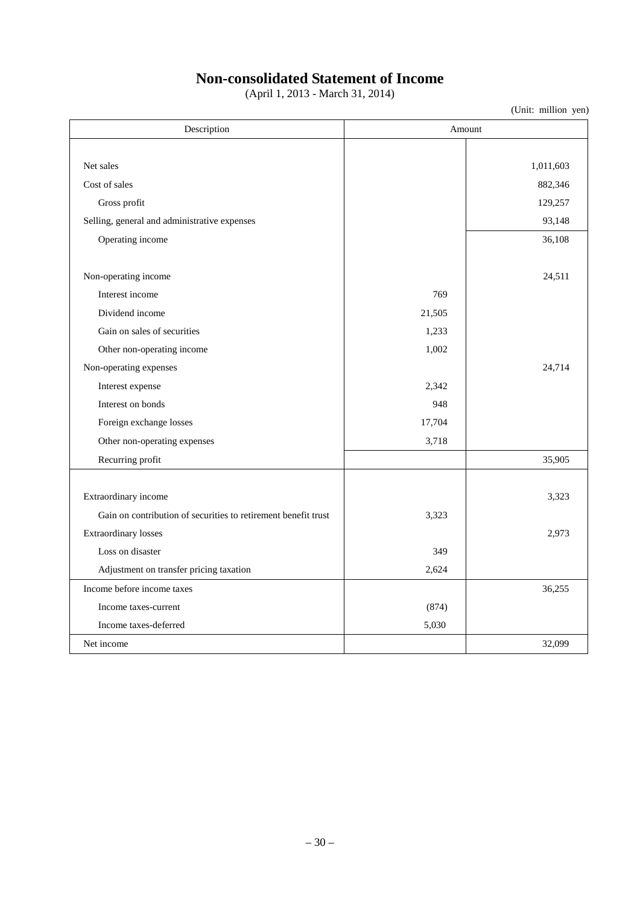# **Non-consolidated Statement of Income**

(April 1, 2013 - March 31, 2014)

| Description                                                    | Amount |           |
|----------------------------------------------------------------|--------|-----------|
|                                                                |        |           |
| Net sales                                                      |        | 1,011,603 |
| Cost of sales                                                  |        | 882,346   |
| Gross profit                                                   |        | 129,257   |
| Selling, general and administrative expenses                   |        | 93,148    |
| Operating income                                               |        | 36,108    |
|                                                                |        |           |
| Non-operating income                                           |        | 24,511    |
| Interest income                                                | 769    |           |
| Dividend income                                                | 21,505 |           |
| Gain on sales of securities                                    | 1,233  |           |
| Other non-operating income                                     | 1,002  |           |
| Non-operating expenses                                         |        | 24,714    |
| Interest expense                                               | 2,342  |           |
| Interest on bonds                                              | 948    |           |
| Foreign exchange losses                                        | 17,704 |           |
| Other non-operating expenses                                   | 3,718  |           |
| Recurring profit                                               |        | 35,905    |
|                                                                |        |           |
| Extraordinary income                                           |        | 3,323     |
| Gain on contribution of securities to retirement benefit trust | 3,323  |           |
| <b>Extraordinary losses</b>                                    |        | 2,973     |
| Loss on disaster                                               | 349    |           |
| Adjustment on transfer pricing taxation                        | 2,624  |           |
| Income before income taxes                                     |        | 36,255    |
| Income taxes-current                                           | (874)  |           |
| Income taxes-deferred                                          | 5,030  |           |
| Net income                                                     |        | 32,099    |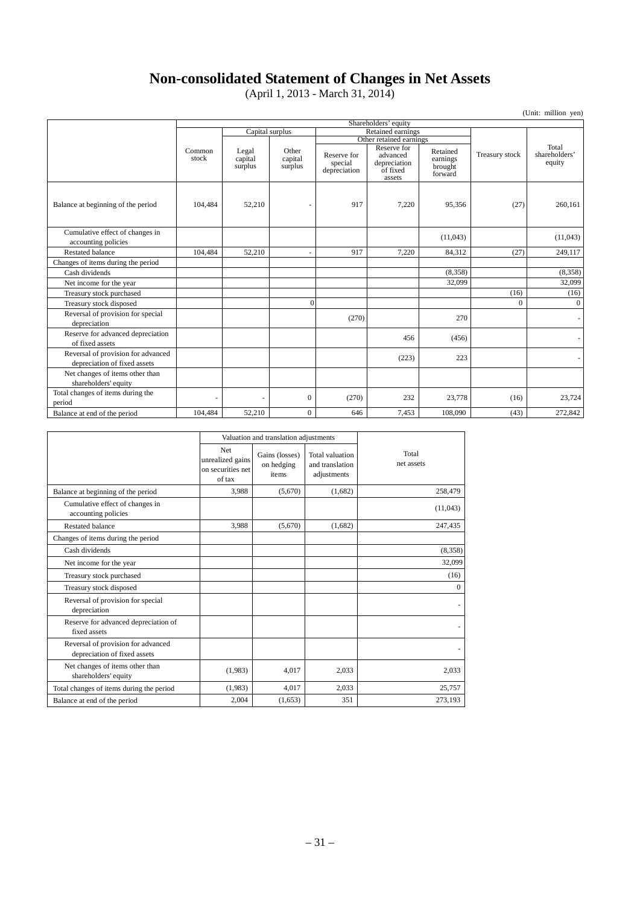## **Non-consolidated Statement of Changes in Net Assets**

(April 1, 2013 - March 31, 2014)

| (Unit: million yen)                                                |                      |                             |                             |                                        |                                                               |                                            |                |                                  |
|--------------------------------------------------------------------|----------------------|-----------------------------|-----------------------------|----------------------------------------|---------------------------------------------------------------|--------------------------------------------|----------------|----------------------------------|
|                                                                    | Shareholders' equity |                             |                             |                                        |                                                               |                                            |                |                                  |
|                                                                    |                      | Capital surplus             |                             |                                        | Retained earnings                                             |                                            |                |                                  |
|                                                                    |                      |                             |                             |                                        | Other retained earnings                                       |                                            |                |                                  |
|                                                                    | Common<br>stock      | Legal<br>capital<br>surplus | Other<br>capital<br>surplus | Reserve for<br>special<br>depreciation | Reserve for<br>advanced<br>depreciation<br>of fixed<br>assets | Retained<br>earnings<br>brought<br>forward | Treasury stock | Total<br>shareholders'<br>equity |
| Balance at beginning of the period                                 | 104,484              | 52,210                      |                             | 917                                    | 7,220                                                         | 95,356                                     | (27)           | 260,161                          |
| Cumulative effect of changes in<br>accounting policies             |                      |                             |                             |                                        |                                                               | (11,043)                                   |                | (11,043)                         |
| <b>Restated balance</b>                                            | 104,484              | 52,210                      | $\overline{\phantom{a}}$    | 917                                    | 7.220                                                         | 84,312                                     | (27)           | 249,117                          |
| Changes of items during the period                                 |                      |                             |                             |                                        |                                                               |                                            |                |                                  |
| Cash dividends                                                     |                      |                             |                             |                                        |                                                               | (8,358)                                    |                | (8,358)                          |
| Net income for the year                                            |                      |                             |                             |                                        |                                                               | 32,099                                     |                | 32,099                           |
| Treasury stock purchased                                           |                      |                             |                             |                                        |                                                               |                                            | (16)           | (16)                             |
| Treasury stock disposed                                            |                      |                             | $\Omega$                    |                                        |                                                               |                                            | $\Omega$       | $\overline{0}$                   |
| Reversal of provision for special<br>depreciation                  |                      |                             |                             | (270)                                  |                                                               | 270                                        |                | $\sim$                           |
| Reserve for advanced depreciation<br>of fixed assets               |                      |                             |                             |                                        | 456                                                           | (456)                                      |                |                                  |
| Reversal of provision for advanced<br>depreciation of fixed assets |                      |                             |                             |                                        | (223)                                                         | 223                                        |                |                                  |
| Net changes of items other than<br>shareholders' equity            |                      |                             |                             |                                        |                                                               |                                            |                |                                  |
| Total changes of items during the<br>period                        |                      |                             | $\mathbf{0}$                | (270)                                  | 232                                                           | 23,778                                     | (16)           | 23,724                           |
| Balance at end of the period                                       | 104,484              | 52,210                      | $\mathbf{0}$                | 646                                    | 7,453                                                         | 108,090                                    | (43)           | 272,842                          |

|                                                                    |                                                               | Valuation and translation adjustments |                                                   |                     |
|--------------------------------------------------------------------|---------------------------------------------------------------|---------------------------------------|---------------------------------------------------|---------------------|
|                                                                    | <b>Net</b><br>unrealized gains<br>on securities net<br>of tax | Gains (losses)<br>on hedging<br>items | Total valuation<br>and translation<br>adjustments | Total<br>net assets |
| Balance at beginning of the period                                 | 3,988                                                         | (5,670)                               | (1,682)                                           | 258,479             |
| Cumulative effect of changes in<br>accounting policies             |                                                               |                                       |                                                   | (11,043)            |
| Restated balance                                                   | 3,988                                                         | (5,670)                               | (1,682)                                           | 247,435             |
| Changes of items during the period                                 |                                                               |                                       |                                                   |                     |
| Cash dividends                                                     |                                                               |                                       |                                                   | (8,358)             |
| Net income for the year                                            |                                                               |                                       |                                                   | 32,099              |
| Treasury stock purchased                                           |                                                               |                                       |                                                   | (16)                |
| Treasury stock disposed                                            |                                                               |                                       |                                                   | $\Omega$            |
| Reversal of provision for special<br>depreciation                  |                                                               |                                       |                                                   |                     |
| Reserve for advanced depreciation of<br>fixed assets               |                                                               |                                       |                                                   |                     |
| Reversal of provision for advanced<br>depreciation of fixed assets |                                                               |                                       |                                                   |                     |
| Net changes of items other than<br>shareholders' equity            | (1,983)                                                       | 4,017                                 | 2,033                                             | 2,033               |
| Total changes of items during the period                           | (1,983)                                                       | 4.017                                 | 2.033                                             | 25,757              |
| Balance at end of the period                                       | 2,004                                                         | (1,653)                               | 351                                               | 273,193             |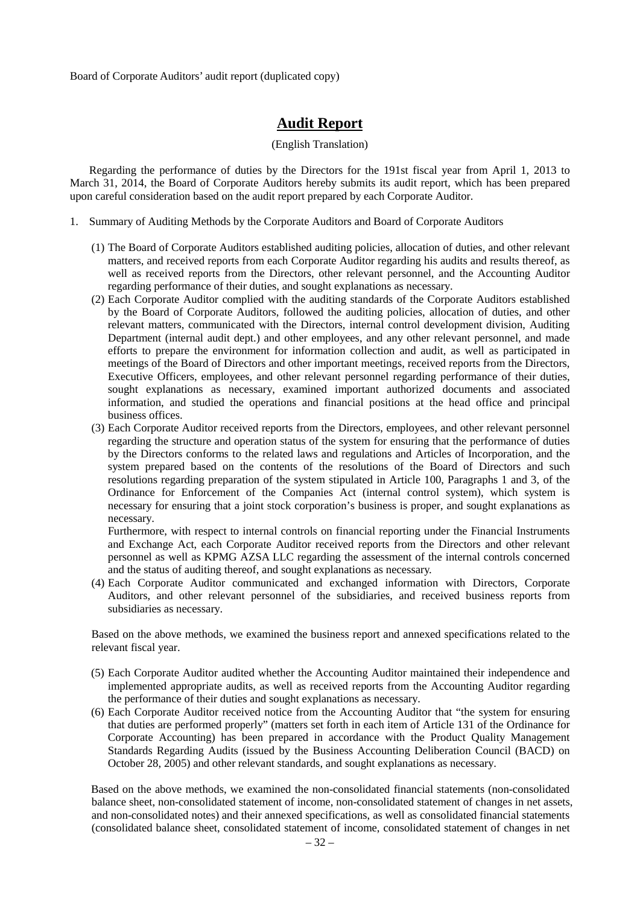Board of Corporate Auditors' audit report (duplicated copy)

## **Audit Report**

#### (English Translation)

Regarding the performance of duties by the Directors for the 191st fiscal year from April 1, 2013 to March 31, 2014, the Board of Corporate Auditors hereby submits its audit report, which has been prepared upon careful consideration based on the audit report prepared by each Corporate Auditor.

- 1. Summary of Auditing Methods by the Corporate Auditors and Board of Corporate Auditors
	- (1) The Board of Corporate Auditors established auditing policies, allocation of duties, and other relevant matters, and received reports from each Corporate Auditor regarding his audits and results thereof, as well as received reports from the Directors, other relevant personnel, and the Accounting Auditor regarding performance of their duties, and sought explanations as necessary.
	- (2) Each Corporate Auditor complied with the auditing standards of the Corporate Auditors established by the Board of Corporate Auditors, followed the auditing policies, allocation of duties, and other relevant matters, communicated with the Directors, internal control development division, Auditing Department (internal audit dept.) and other employees, and any other relevant personnel, and made efforts to prepare the environment for information collection and audit, as well as participated in meetings of the Board of Directors and other important meetings, received reports from the Directors, Executive Officers, employees, and other relevant personnel regarding performance of their duties, sought explanations as necessary, examined important authorized documents and associated information, and studied the operations and financial positions at the head office and principal business offices.
	- (3) Each Corporate Auditor received reports from the Directors, employees, and other relevant personnel regarding the structure and operation status of the system for ensuring that the performance of duties by the Directors conforms to the related laws and regulations and Articles of Incorporation, and the system prepared based on the contents of the resolutions of the Board of Directors and such resolutions regarding preparation of the system stipulated in Article 100, Paragraphs 1 and 3, of the Ordinance for Enforcement of the Companies Act (internal control system), which system is necessary for ensuring that a joint stock corporation's business is proper, and sought explanations as necessary.

Furthermore, with respect to internal controls on financial reporting under the Financial Instruments and Exchange Act, each Corporate Auditor received reports from the Directors and other relevant personnel as well as KPMG AZSA LLC regarding the assessment of the internal controls concerned and the status of auditing thereof, and sought explanations as necessary.

(4) Each Corporate Auditor communicated and exchanged information with Directors, Corporate Auditors, and other relevant personnel of the subsidiaries, and received business reports from subsidiaries as necessary.

Based on the above methods, we examined the business report and annexed specifications related to the relevant fiscal year.

- (5) Each Corporate Auditor audited whether the Accounting Auditor maintained their independence and implemented appropriate audits, as well as received reports from the Accounting Auditor regarding the performance of their duties and sought explanations as necessary.
- (6) Each Corporate Auditor received notice from the Accounting Auditor that "the system for ensuring that duties are performed properly" (matters set forth in each item of Article 131 of the Ordinance for Corporate Accounting) has been prepared in accordance with the Product Quality Management Standards Regarding Audits (issued by the Business Accounting Deliberation Council (BACD) on October 28, 2005) and other relevant standards, and sought explanations as necessary.

Based on the above methods, we examined the non-consolidated financial statements (non-consolidated balance sheet, non-consolidated statement of income, non-consolidated statement of changes in net assets, and non-consolidated notes) and their annexed specifications, as well as consolidated financial statements (consolidated balance sheet, consolidated statement of income, consolidated statement of changes in net